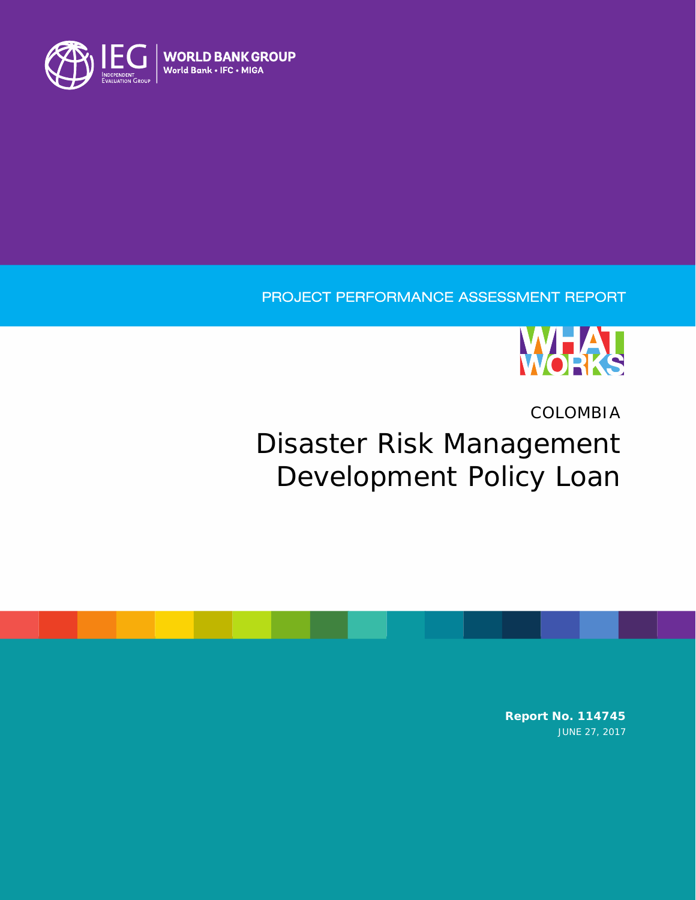

## PROJECT PERFORMANCE ASSESSMENT REPORT



# COLOMBIA Disaster Risk Management Development Policy Loan

**Report No. 114745** JUNE 27, 2017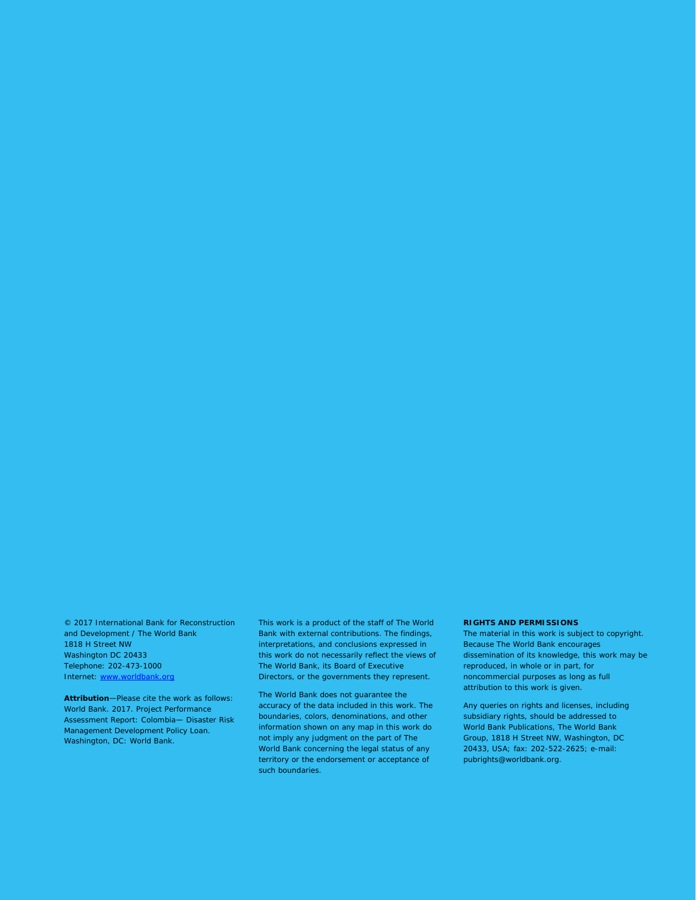© 2017 International Bank for Reconstruction and Development / The World Bank 1818 H Street NW Washington DC 20433 Telephone: 202-473-1000 Internet: [www.worldbank.org](http://www.worldbank.org/)

**Attribution**—Please cite the work as follows: World Bank. 2017. Project Performance Assessment Report: Colombia— Disaster Risk Management Development Policy Loan. Washington, DC: World Bank.

This work is a product of the staff of The World Bank with external contributions. The findings, interpretations, and conclusions expressed in this work do not necessarily reflect the views of The World Bank, its Board of Executive Directors, or the governments they represent.

The World Bank does not guarantee the accuracy of the data included in this work. The boundaries, colors, denominations, and other information shown on any map in this work do not imply any judgment on the part of The World Bank concerning the legal status of any territory or the endorsement or acceptance of such boundaries.

#### **RIGHTS AND PERMISSIONS**

The material in this work is subject to copyright. Because The World Bank encourages dissemination of its knowledge, this work may be reproduced, in whole or in part, for noncommercial purposes as long as full attribution to this work is given.

Any queries on rights and licenses, including subsidiary rights, should be addressed to World Bank Publications, The World Bank Group, 1818 H Street NW, Washington, DC 20433, USA; fax: 202-522-2625; e-mail: pubrights@worldbank.org.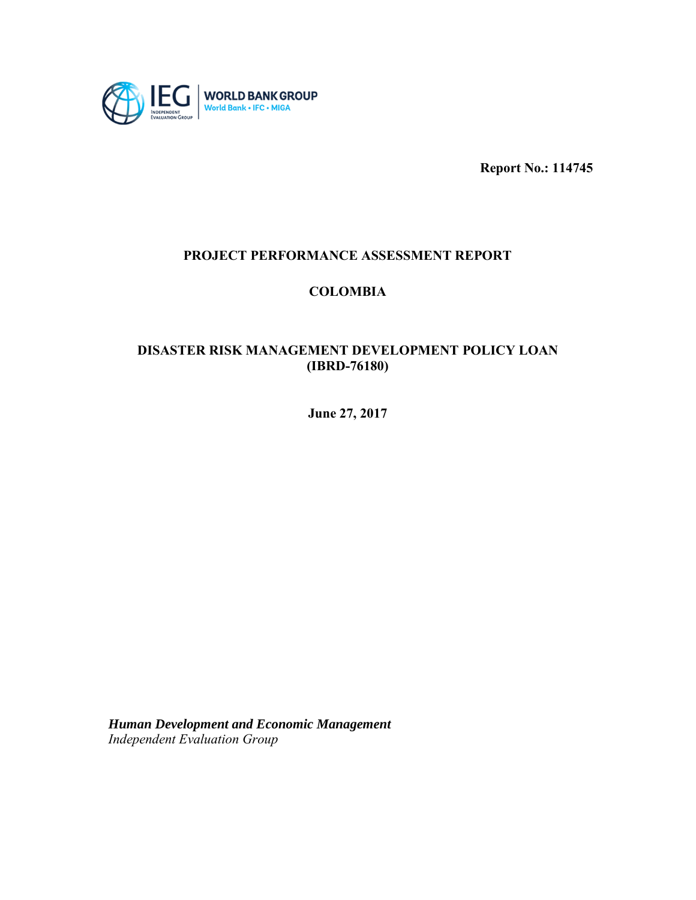

**Report No.: 114745**

### **PROJECT PERFORMANCE ASSESSMENT REPORT**

### **COLOMBIA**

### **DISASTER RISK MANAGEMENT DEVELOPMENT POLICY LOAN (IBRD-76180)**

**June 27, 2017**

*Human Development and Economic Management Independent Evaluation Group*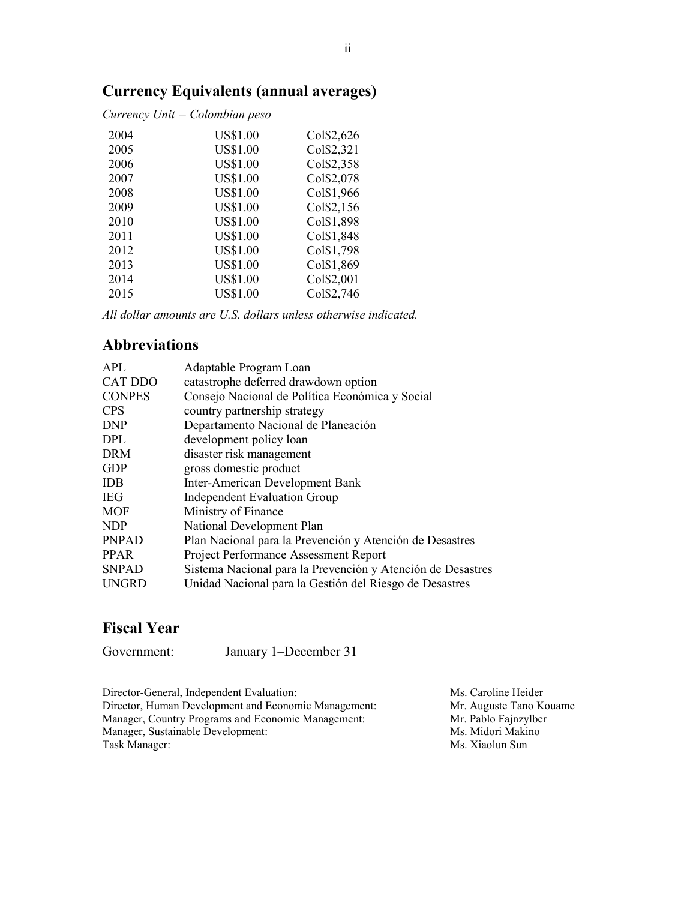## **Currency Equivalents (annual averages)**

*Currency Unit = Colombian peso*

| 2004 | <b>US\$1.00</b> | Col\$2,626 |
|------|-----------------|------------|
| 2005 | <b>US\$1.00</b> | Col\$2,321 |
| 2006 | <b>US\$1.00</b> | Col\$2,358 |
| 2007 | <b>US\$1.00</b> | Col\$2,078 |
| 2008 | <b>US\$1.00</b> | Col\$1,966 |
| 2009 | <b>US\$1.00</b> | Col\$2,156 |
| 2010 | <b>US\$1.00</b> | Col\$1,898 |
| 2011 | <b>US\$1.00</b> | Col\$1,848 |
| 2012 | <b>US\$1.00</b> | Col\$1,798 |
| 2013 | <b>US\$1.00</b> | Col\$1,869 |
| 2014 | <b>US\$1.00</b> | Col\$2,001 |
| 2015 | <b>US\$1.00</b> | Col\$2,746 |

*All dollar amounts are U.S. dollars unless otherwise indicated.*

### **Abbreviations**

| APL            | Adaptable Program Loan                                      |
|----------------|-------------------------------------------------------------|
| <b>CAT DDO</b> | catastrophe deferred drawdown option                        |
| <b>CONPES</b>  | Consejo Nacional de Política Económica y Social             |
| <b>CPS</b>     | country partnership strategy                                |
| <b>DNP</b>     | Departamento Nacional de Planeación                         |
| <b>DPL</b>     | development policy loan                                     |
| <b>DRM</b>     | disaster risk management                                    |
| <b>GDP</b>     | gross domestic product                                      |
| <b>IDB</b>     | <b>Inter-American Development Bank</b>                      |
| <b>IEG</b>     | <b>Independent Evaluation Group</b>                         |
| MOF            | Ministry of Finance                                         |
| NDP            | National Development Plan                                   |
| <b>PNPAD</b>   | Plan Nacional para la Prevención y Atención de Desastres    |
| <b>PPAR</b>    | <b>Project Performance Assessment Report</b>                |
| <b>SNPAD</b>   | Sistema Nacional para la Prevención y Atención de Desastres |
| <b>UNGRD</b>   | Unidad Nacional para la Gestión del Riesgo de Desastres     |
|                |                                                             |

## **Fiscal Year**

Government: January 1–December 31

Director-General, Independent Evaluation: Ms. Caroline Heider<br>Director, Human Development and Economic Management: Mr. Auguste Tano Kouame Director, Human Development and Economic Management: Mr. Auguste Tano Ko<br>Manager, Country Programs and Economic Management: Mr. Pablo Fajnzylber Manager, Country Programs and Economic Management: Mr. Pablo Fajnzylbe<br>Manager, Sustainable Development: Ms. Midori Makino Manager, Sustainable Development:<br>Task Manager:

Ms. Xiaolun Sun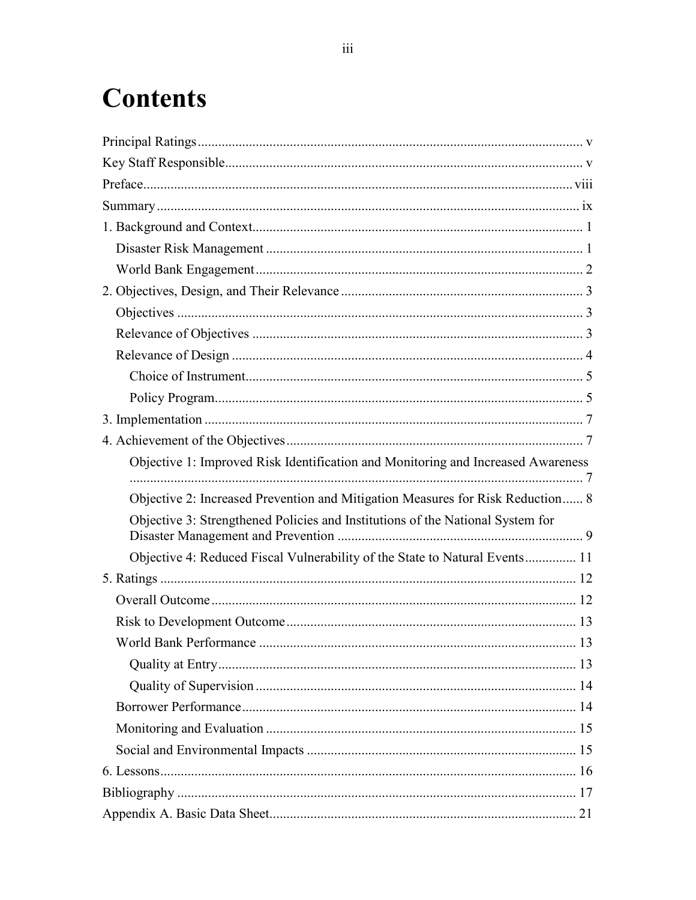# **Contents**

| Objective 1: Improved Risk Identification and Monitoring and Increased Awareness |  |
|----------------------------------------------------------------------------------|--|
| Objective 2: Increased Prevention and Mitigation Measures for Risk Reduction 8   |  |
| Objective 3: Strengthened Policies and Institutions of the National System for   |  |
| Objective 4: Reduced Fiscal Vulnerability of the State to Natural Events 11      |  |
|                                                                                  |  |
|                                                                                  |  |
|                                                                                  |  |
|                                                                                  |  |
|                                                                                  |  |
|                                                                                  |  |
|                                                                                  |  |
|                                                                                  |  |
|                                                                                  |  |
|                                                                                  |  |
|                                                                                  |  |
|                                                                                  |  |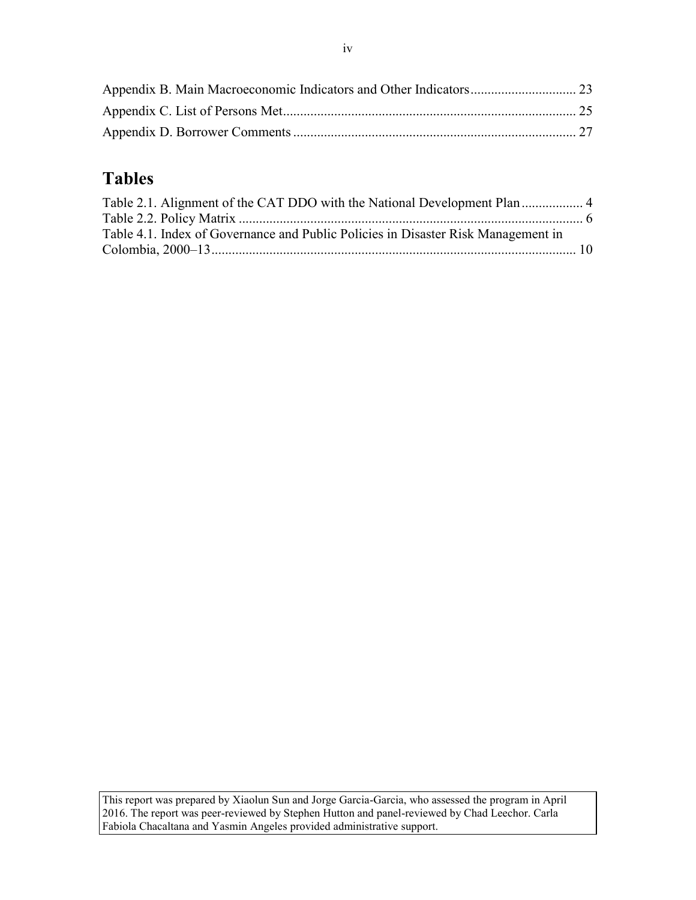## **Tables**

| Table 4.1. Index of Governance and Public Policies in Disaster Risk Management in |  |
|-----------------------------------------------------------------------------------|--|
|                                                                                   |  |

This report was prepared by Xiaolun Sun and Jorge Garcia-Garcia, who assessed the program in April 2016. The report was peer-reviewed by Stephen Hutton and panel-reviewed by Chad Leechor. Carla Fabiola Chacaltana and Yasmin Angeles provided administrative support.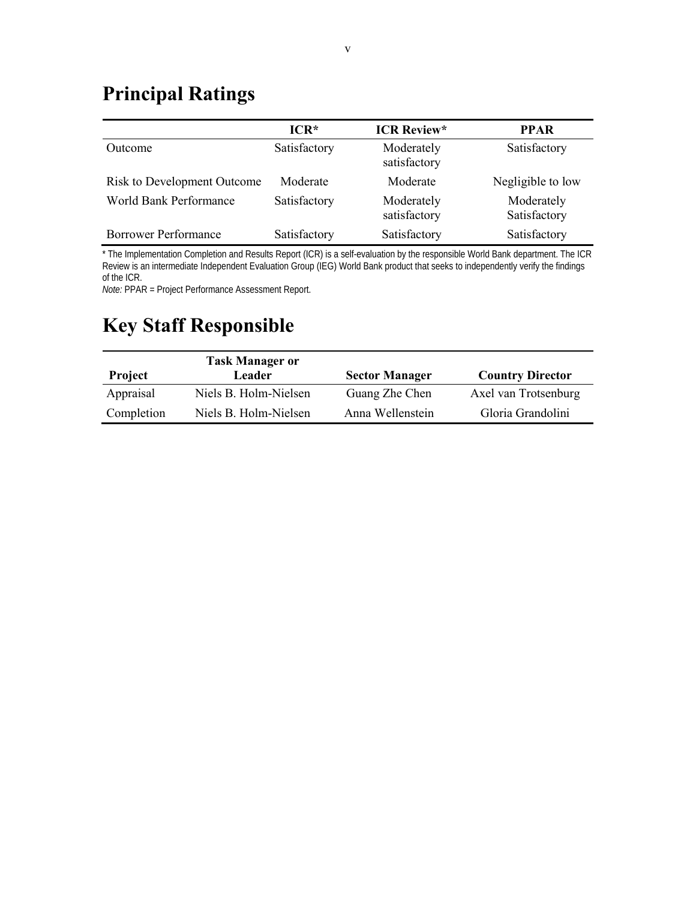## <span id="page-6-0"></span>**Principal Ratings**

|                                    | $ICR*$       | <b>ICR Review*</b>         | <b>PPAR</b>                |
|------------------------------------|--------------|----------------------------|----------------------------|
| Outcome                            | Satisfactory | Moderately<br>satisfactory | Satisfactory               |
| <b>Risk to Development Outcome</b> | Moderate     | Moderate                   | Negligible to low          |
| World Bank Performance             | Satisfactory | Moderately<br>satisfactory | Moderately<br>Satisfactory |
| <b>Borrower Performance</b>        | Satisfactory | Satisfactory               | Satisfactory               |

\* The Implementation Completion and Results Report (ICR) is a self-evaluation by the responsible World Bank department. The ICR Review is an intermediate Independent Evaluation Group (IEG) World Bank product that seeks to independently verify the findings of the ICR.

*Note:* PPAR = Project Performance Assessment Report.

## <span id="page-6-1"></span>**Key Staff Responsible**

| <b>Project</b> | <b>Task Manager or</b><br>Leader | <b>Sector Manager</b> | <b>Country Director</b> |
|----------------|----------------------------------|-----------------------|-------------------------|
| Appraisal      | Niels B. Holm-Nielsen            | Guang Zhe Chen        | Axel van Trotsenburg    |
| Completion     | Niels B. Holm-Nielsen            | Anna Wellenstein      | Gloria Grandolini       |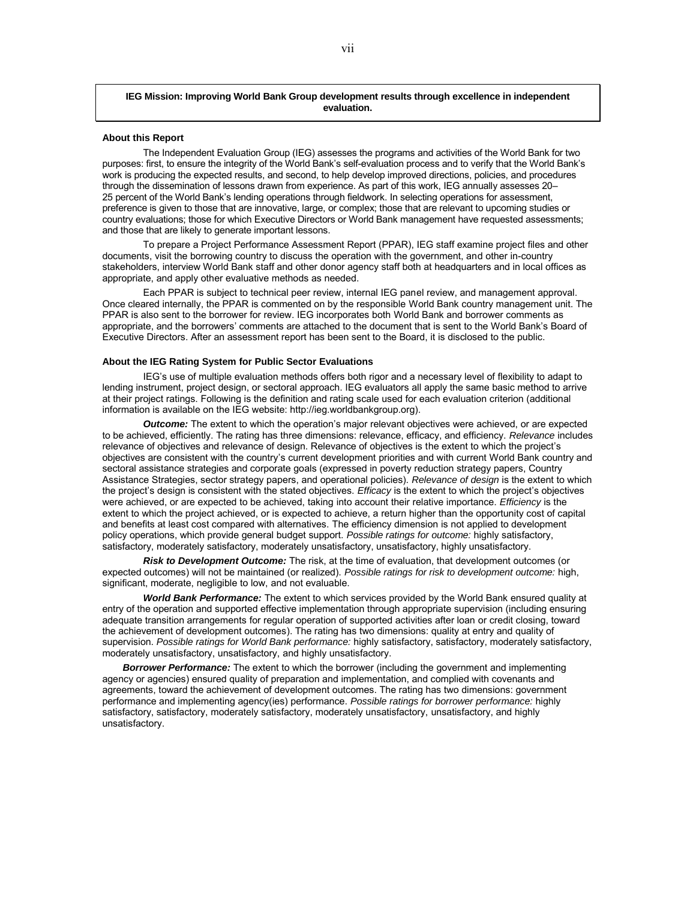#### **IEG Mission: Improving World Bank Group development results through excellence in independent evaluation.**

#### **About this Report**

The Independent Evaluation Group (IEG) assesses the programs and activities of the World Bank for two purposes: first, to ensure the integrity of the World Bank's self-evaluation process and to verify that the World Bank's work is producing the expected results, and second, to help develop improved directions, policies, and procedures through the dissemination of lessons drawn from experience. As part of this work, IEG annually assesses 20– 25 percent of the World Bank's lending operations through fieldwork. In selecting operations for assessment, preference is given to those that are innovative, large, or complex; those that are relevant to upcoming studies or country evaluations; those for which Executive Directors or World Bank management have requested assessments; and those that are likely to generate important lessons.

To prepare a Project Performance Assessment Report (PPAR), IEG staff examine project files and other documents, visit the borrowing country to discuss the operation with the government, and other in-country stakeholders, interview World Bank staff and other donor agency staff both at headquarters and in local offices as appropriate, and apply other evaluative methods as needed.

Each PPAR is subject to technical peer review, internal IEG panel review, and management approval. Once cleared internally, the PPAR is commented on by the responsible World Bank country management unit. The PPAR is also sent to the borrower for review. IEG incorporates both World Bank and borrower comments as appropriate, and the borrowers' comments are attached to the document that is sent to the World Bank's Board of Executive Directors. After an assessment report has been sent to the Board, it is disclosed to the public.

#### **About the IEG Rating System for Public Sector Evaluations**

IEG's use of multiple evaluation methods offers both rigor and a necessary level of flexibility to adapt to lending instrument, project design, or sectoral approach. IEG evaluators all apply the same basic method to arrive at their project ratings. Following is the definition and rating scale used for each evaluation criterion (additional information is available on the IEG website: http://ieg.worldbankgroup.org).

*Outcome:* The extent to which the operation's major relevant objectives were achieved, or are expected to be achieved, efficiently. The rating has three dimensions: relevance, efficacy, and efficiency. *Relevance* includes relevance of objectives and relevance of design. Relevance of objectives is the extent to which the project's objectives are consistent with the country's current development priorities and with current World Bank country and sectoral assistance strategies and corporate goals (expressed in poverty reduction strategy papers, Country Assistance Strategies, sector strategy papers, and operational policies). *Relevance of design* is the extent to which the project's design is consistent with the stated objectives. *Efficacy* is the extent to which the project's objectives were achieved, or are expected to be achieved, taking into account their relative importance. *Efficiency* is the extent to which the project achieved, or is expected to achieve, a return higher than the opportunity cost of capital and benefits at least cost compared with alternatives. The efficiency dimension is not applied to development policy operations, which provide general budget support. *Possible ratings for outcome:* highly satisfactory, satisfactory, moderately satisfactory, moderately unsatisfactory, unsatisfactory, highly unsatisfactory.

*Risk to Development Outcome:* The risk, at the time of evaluation, that development outcomes (or expected outcomes) will not be maintained (or realized). *Possible ratings for risk to development outcome:* high, significant, moderate, negligible to low, and not evaluable.

*World Bank Performance:* The extent to which services provided by the World Bank ensured quality at entry of the operation and supported effective implementation through appropriate supervision (including ensuring adequate transition arrangements for regular operation of supported activities after loan or credit closing, toward the achievement of development outcomes). The rating has two dimensions: quality at entry and quality of supervision. *Possible ratings for World Bank performance:* highly satisfactory, satisfactory, moderately satisfactory, moderately unsatisfactory, unsatisfactory, and highly unsatisfactory.

*Borrower Performance:* The extent to which the borrower (including the government and implementing agency or agencies) ensured quality of preparation and implementation, and complied with covenants and agreements, toward the achievement of development outcomes. The rating has two dimensions: government performance and implementing agency(ies) performance. *Possible ratings for borrower performance:* highly satisfactory, satisfactory, moderately satisfactory, moderately unsatisfactory, unsatisfactory, and highly unsatisfactory.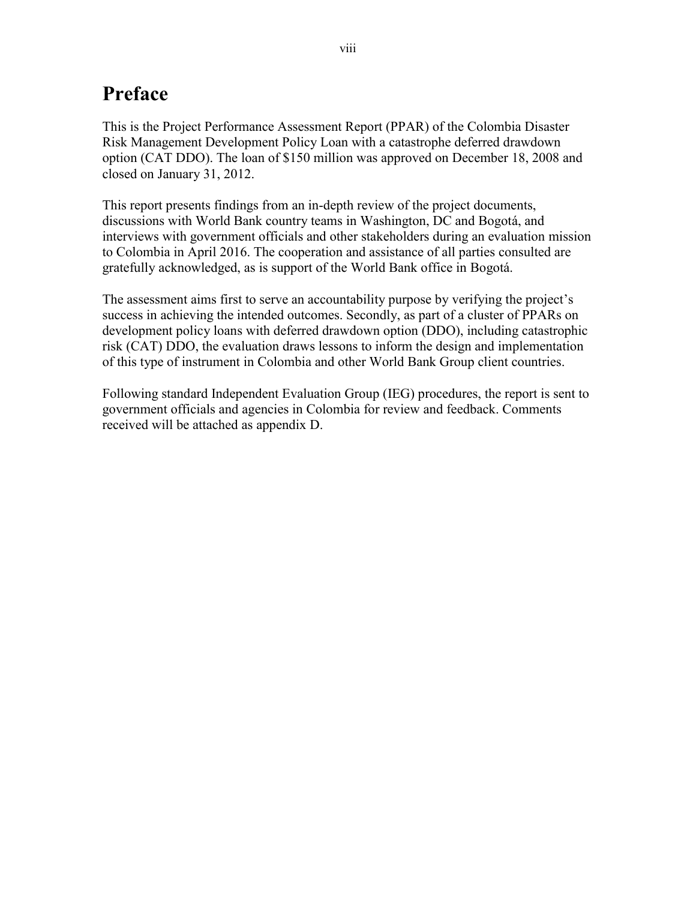## <span id="page-9-0"></span>**Preface**

This is the Project Performance Assessment Report (PPAR) of the Colombia Disaster Risk Management Development Policy Loan with a catastrophe deferred drawdown option (CAT DDO). The loan of \$150 million was approved on December 18, 2008 and closed on January 31, 2012.

This report presents findings from an in-depth review of the project documents, discussions with World Bank country teams in Washington, DC and Bogotá, and interviews with government officials and other stakeholders during an evaluation mission to Colombia in April 2016. The cooperation and assistance of all parties consulted are gratefully acknowledged, as is support of the World Bank office in Bogotá.

The assessment aims first to serve an accountability purpose by verifying the project's success in achieving the intended outcomes. Secondly, as part of a cluster of PPARs on development policy loans with deferred drawdown option (DDO), including catastrophic risk (CAT) DDO, the evaluation draws lessons to inform the design and implementation of this type of instrument in Colombia and other World Bank Group client countries.

Following standard Independent Evaluation Group (IEG) procedures, the report is sent to government officials and agencies in Colombia for review and feedback. Comments received will be attached as appendix D.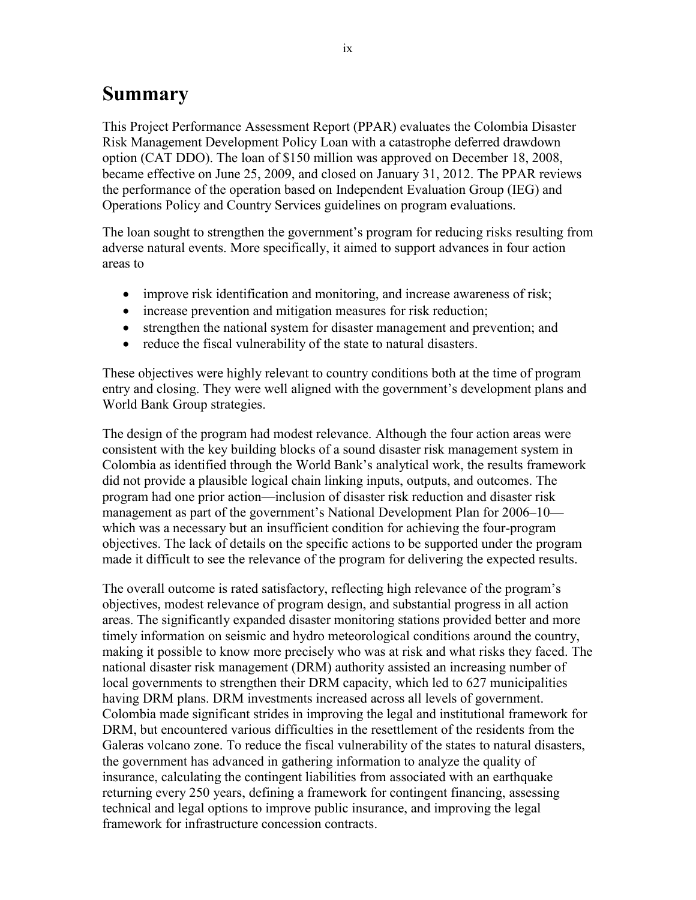## <span id="page-10-0"></span>**Summary**

This Project Performance Assessment Report (PPAR) evaluates the Colombia Disaster Risk Management Development Policy Loan with a catastrophe deferred drawdown option (CAT DDO). The loan of \$150 million was approved on December 18, 2008, became effective on June 25, 2009, and closed on January 31, 2012. The PPAR reviews the performance of the operation based on Independent Evaluation Group (IEG) and Operations Policy and Country Services guidelines on program evaluations.

The loan sought to strengthen the government's program for reducing risks resulting from adverse natural events. More specifically, it aimed to support advances in four action areas to

- improve risk identification and monitoring, and increase awareness of risk;
- increase prevention and mitigation measures for risk reduction;
- strengthen the national system for disaster management and prevention; and
- reduce the fiscal vulnerability of the state to natural disasters.

These objectives were highly relevant to country conditions both at the time of program entry and closing. They were well aligned with the government's development plans and World Bank Group strategies.

The design of the program had modest relevance. Although the four action areas were consistent with the key building blocks of a sound disaster risk management system in Colombia as identified through the World Bank's analytical work, the results framework did not provide a plausible logical chain linking inputs, outputs, and outcomes. The program had one prior action—inclusion of disaster risk reduction and disaster risk management as part of the government's National Development Plan for 2006–10 which was a necessary but an insufficient condition for achieving the four-program objectives. The lack of details on the specific actions to be supported under the program made it difficult to see the relevance of the program for delivering the expected results.

The overall outcome is rated satisfactory, reflecting high relevance of the program's objectives, modest relevance of program design, and substantial progress in all action areas. The significantly expanded disaster monitoring stations provided better and more timely information on seismic and hydro meteorological conditions around the country, making it possible to know more precisely who was at risk and what risks they faced. The national disaster risk management (DRM) authority assisted an increasing number of local governments to strengthen their DRM capacity, which led to 627 municipalities having DRM plans. DRM investments increased across all levels of government. Colombia made significant strides in improving the legal and institutional framework for DRM, but encountered various difficulties in the resettlement of the residents from the Galeras volcano zone. To reduce the fiscal vulnerability of the states to natural disasters, the government has advanced in gathering information to analyze the quality of insurance, calculating the contingent liabilities from associated with an earthquake returning every 250 years, defining a framework for contingent financing, assessing technical and legal options to improve public insurance, and improving the legal framework for infrastructure concession contracts.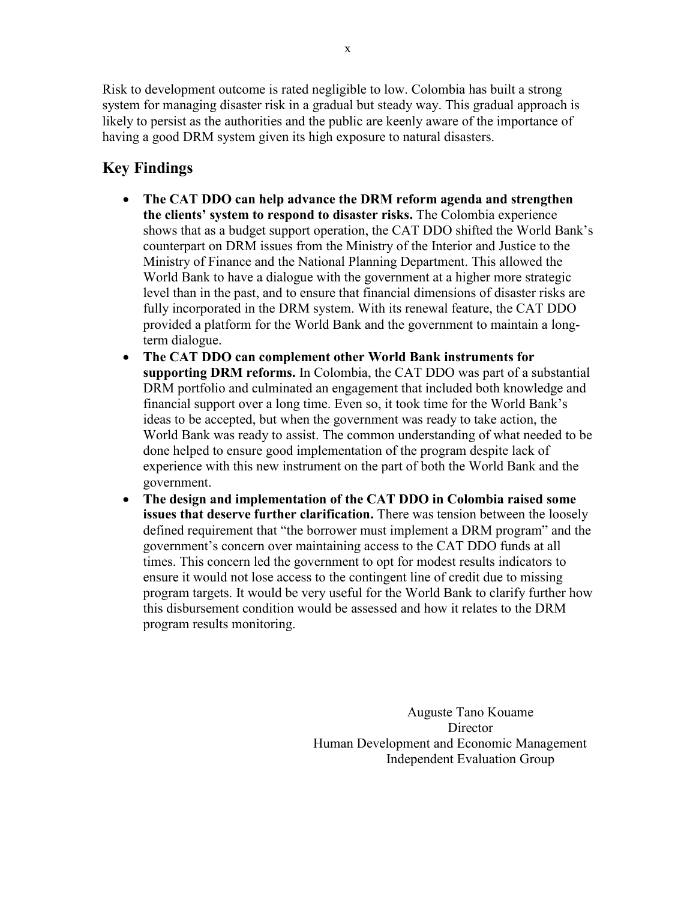Risk to development outcome is rated negligible to low. Colombia has built a strong system for managing disaster risk in a gradual but steady way. This gradual approach is likely to persist as the authorities and the public are keenly aware of the importance of having a good DRM system given its high exposure to natural disasters.

## **Key Findings**

- **The CAT DDO can help advance the DRM reform agenda and strengthen the clients' system to respond to disaster risks.** The Colombia experience shows that as a budget support operation, the CAT DDO shifted the World Bank's counterpart on DRM issues from the Ministry of the Interior and Justice to the Ministry of Finance and the National Planning Department. This allowed the World Bank to have a dialogue with the government at a higher more strategic level than in the past, and to ensure that financial dimensions of disaster risks are fully incorporated in the DRM system. With its renewal feature, the CAT DDO provided a platform for the World Bank and the government to maintain a longterm dialogue.
- **The CAT DDO can complement other World Bank instruments for supporting DRM reforms.** In Colombia, the CAT DDO was part of a substantial DRM portfolio and culminated an engagement that included both knowledge and financial support over a long time. Even so, it took time for the World Bank's ideas to be accepted, but when the government was ready to take action, the World Bank was ready to assist. The common understanding of what needed to be done helped to ensure good implementation of the program despite lack of experience with this new instrument on the part of both the World Bank and the government.
- **The design and implementation of the CAT DDO in Colombia raised some issues that deserve further clarification.** There was tension between the loosely defined requirement that "the borrower must implement a DRM program" and the government's concern over maintaining access to the CAT DDO funds at all times. This concern led the government to opt for modest results indicators to ensure it would not lose access to the contingent line of credit due to missing program targets. It would be very useful for the World Bank to clarify further how this disbursement condition would be assessed and how it relates to the DRM program results monitoring.

Auguste Tano Kouame **Director** Human Development and Economic Management Independent Evaluation Group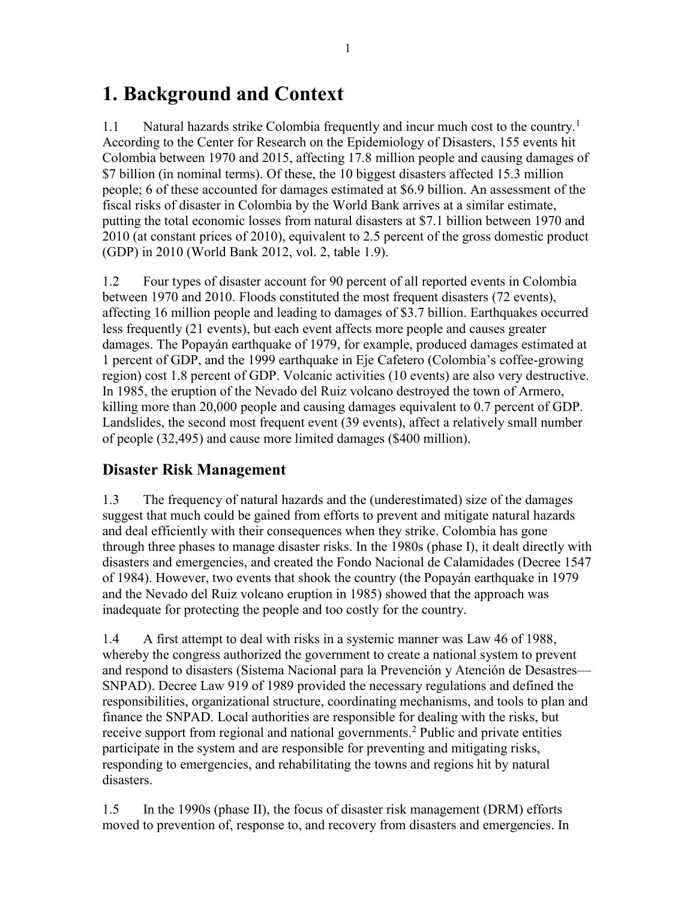## <span id="page-12-0"></span>**1. Background and Context**

1.1 Natural hazards strike Colombia frequently and incur much cost to the country.<sup>1</sup> According to the Center for Research on the Epidemiology of Disasters, 155 events hit Colombia between 1970 and 2015, affecting 17.8 million people and causing damages of \$7 billion (in nominal terms). Of these, the 10 biggest disasters affected 15.3 million people; 6 of these accounted for damages estimated at \$6.9 billion. An assessment of the fiscal risks of disaster in Colombia by the World Bank arrives at a similar estimate, putting the total economic losses from natural disasters at \$7.1 billion between 1970 and 2010 (at constant prices of 2010), equivalent to 2.5 percent of the gross domestic product (GDP) in 2010 (World Bank 2012, vol. 2, table 1.9).

1.2 Four types of disaster account for 90 percent of all reported events in Colombia between 1970 and 2010. Floods constituted the most frequent disasters (72 events), affecting 16 million people and leading to damages of \$3.7 billion. Earthquakes occurred less frequently (21 events), but each event affects more people and causes greater damages. The Popayán earthquake of 1979, for example, produced damages estimated at 1 percent of GDP, and the 1999 earthquake in Eje Cafetero (Colombia's coffee-growing region) cost 1.8 percent of GDP. Volcanic activities (10 events) are also very destructive. In 1985, the eruption of the Nevado del Ruiz volcano destroyed the town of Armero, killing more than 20,000 people and causing damages equivalent to 0.7 percent of GDP. Landslides, the second most frequent event (39 events), affect a relatively small number of people (32,495) and cause more limited damages (\$400 million).

## <span id="page-12-1"></span>**Disaster Risk Management**

1.3 The frequency of natural hazards and the (underestimated) size of the damages suggest that much could be gained from efforts to prevent and mitigate natural hazards and deal efficiently with their consequences when they strike. Colombia has gone through three phases to manage disaster risks. In the 1980s (phase I), it dealt directly with disasters and emergencies, and created the Fondo Nacional de Calamidades (Decree 1547 of 1984). However, two events that shook the country (the Popayán earthquake in 1979 and the Nevado del Ruiz volcano eruption in 1985) showed that the approach was inadequate for protecting the people and too costly for the country.

1.4 A first attempt to deal with risks in a systemic manner was Law 46 of 1988, whereby the congress authorized the government to create a national system to prevent and respond to disasters (Sistema Nacional para la Prevención y Atención de Desastres— SNPAD). Decree Law 919 of 1989 provided the necessary regulations and defined the responsibilities, organizational structure, coordinating mechanisms, and tools to plan and finance the SNPAD. Local authorities are responsible for dealing with the risks, but receive support from regional and national governments. <sup>2</sup> Public and private entities participate in the system and are responsible for preventing and mitigating risks, responding to emergencies, and rehabilitating the towns and regions hit by natural disasters.

1.5 In the 1990s (phase II), the focus of disaster risk management (DRM) efforts moved to prevention of, response to, and recovery from disasters and emergencies. In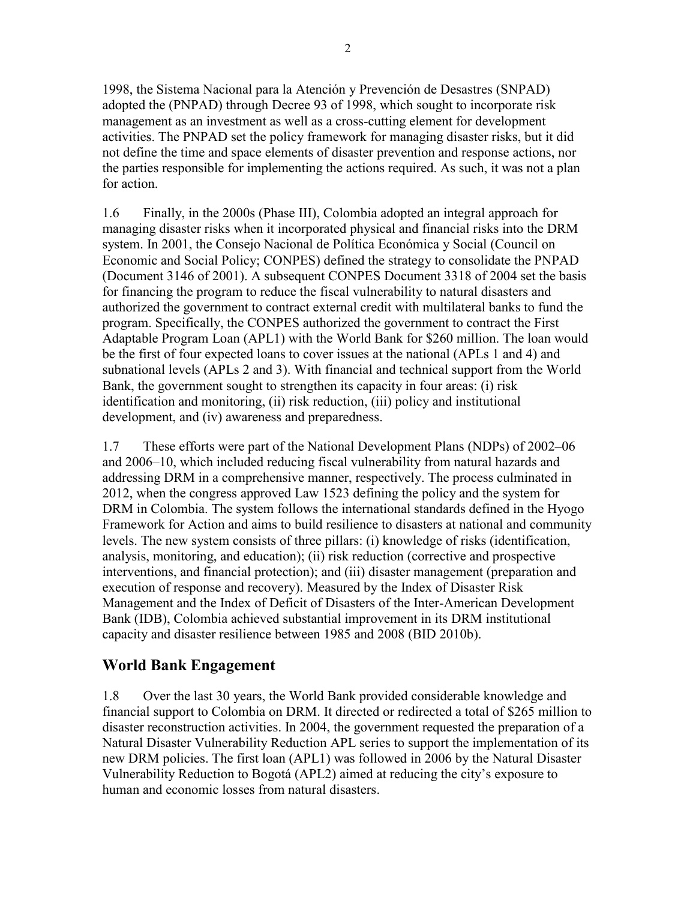1998, the Sistema Nacional para la Atención y Prevención de Desastres (SNPAD) adopted the (PNPAD) through Decree 93 of 1998, which sought to incorporate risk management as an investment as well as a cross-cutting element for development activities. The PNPAD set the policy framework for managing disaster risks, but it did not define the time and space elements of disaster prevention and response actions, nor the parties responsible for implementing the actions required. As such, it was not a plan for action.

1.6 Finally, in the 2000s (Phase III), Colombia adopted an integral approach for managing disaster risks when it incorporated physical and financial risks into the DRM system. In 2001, the Consejo Nacional de Política Económica y Social (Council on Economic and Social Policy; CONPES) defined the strategy to consolidate the PNPAD (Document 3146 of 2001). A subsequent CONPES Document 3318 of 2004 set the basis for financing the program to reduce the fiscal vulnerability to natural disasters and authorized the government to contract external credit with multilateral banks to fund the program. Specifically, the CONPES authorized the government to contract the First Adaptable Program Loan (APL1) with the World Bank for \$260 million. The loan would be the first of four expected loans to cover issues at the national (APLs 1 and 4) and subnational levels (APLs 2 and 3). With financial and technical support from the World Bank, the government sought to strengthen its capacity in four areas: (i) risk identification and monitoring, (ii) risk reduction, (iii) policy and institutional development, and (iv) awareness and preparedness.

1.7 These efforts were part of the National Development Plans (NDPs) of 2002–06 and 2006–10, which included reducing fiscal vulnerability from natural hazards and addressing DRM in a comprehensive manner, respectively. The process culminated in 2012, when the congress approved Law 1523 defining the policy and the system for DRM in Colombia. The system follows the international standards defined in the Hyogo Framework for Action and aims to build resilience to disasters at national and community levels. The new system consists of three pillars: (i) knowledge of risks (identification, analysis, monitoring, and education); (ii) risk reduction (corrective and prospective interventions, and financial protection); and (iii) disaster management (preparation and execution of response and recovery). Measured by the Index of Disaster Risk Management and the Index of Deficit of Disasters of the Inter-American Development Bank (IDB), Colombia achieved substantial improvement in its DRM institutional capacity and disaster resilience between 1985 and 2008 (BID 2010b).

## <span id="page-13-0"></span>**World Bank Engagement**

1.8 Over the last 30 years, the World Bank provided considerable knowledge and financial support to Colombia on DRM. It directed or redirected a total of \$265 million to disaster reconstruction activities. In 2004, the government requested the preparation of a Natural Disaster Vulnerability Reduction APL series to support the implementation of its new DRM policies. The first loan (APL1) was followed in 2006 by the Natural Disaster Vulnerability Reduction to Bogotá (APL2) aimed at reducing the city's exposure to human and economic losses from natural disasters.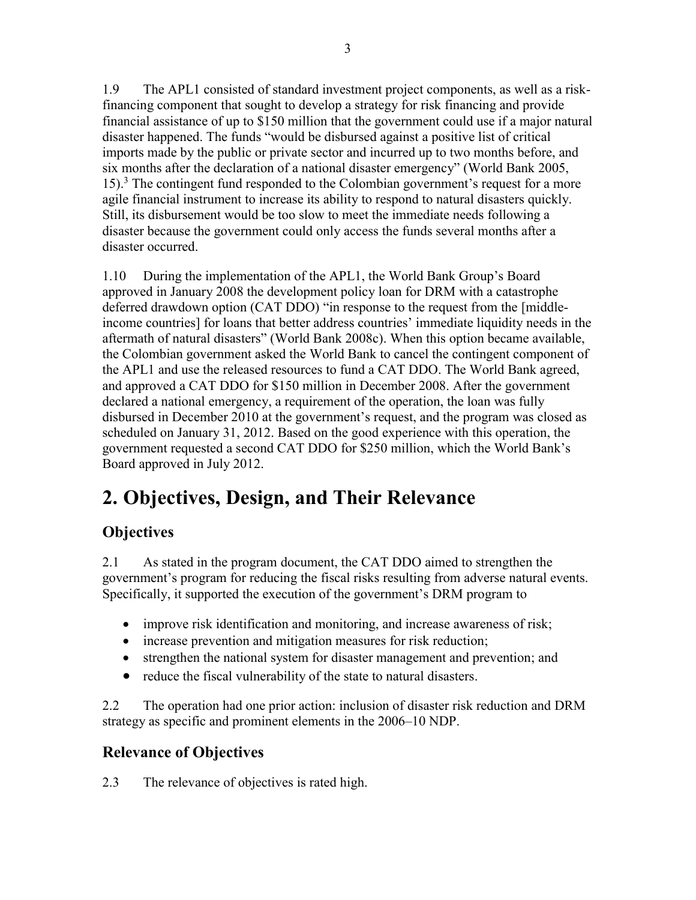1.9 The APL1 consisted of standard investment project components, as well as a riskfinancing component that sought to develop a strategy for risk financing and provide financial assistance of up to \$150 million that the government could use if a major natural disaster happened. The funds "would be disbursed against a positive list of critical imports made by the public or private sector and incurred up to two months before, and six months after the declaration of a national disaster emergency" (World Bank 2005, 15).<sup>3</sup> The contingent fund responded to the Colombian government's request for a more agile financial instrument to increase its ability to respond to natural disasters quickly. Still, its disbursement would be too slow to meet the immediate needs following a disaster because the government could only access the funds several months after a disaster occurred.

1.10 During the implementation of the APL1, the World Bank Group's Board approved in January 2008 the development policy loan for DRM with a catastrophe deferred drawdown option (CAT DDO) "in response to the request from the [middleincome countries] for loans that better address countries' immediate liquidity needs in the aftermath of natural disasters" (World Bank 2008c). When this option became available, the Colombian government asked the World Bank to cancel the contingent component of the APL1 and use the released resources to fund a CAT DDO. The World Bank agreed, and approved a CAT DDO for \$150 million in December 2008. After the government declared a national emergency, a requirement of the operation, the loan was fully disbursed in December 2010 at the government's request, and the program was closed as scheduled on January 31, 2012. Based on the good experience with this operation, the government requested a second CAT DDO for \$250 million, which the World Bank's Board approved in July 2012.

## <span id="page-14-0"></span>**2. Objectives, Design, and Their Relevance**

## <span id="page-14-1"></span>**Objectives**

2.1 As stated in the program document, the CAT DDO aimed to strengthen the government's program for reducing the fiscal risks resulting from adverse natural events. Specifically, it supported the execution of the government's DRM program to

- improve risk identification and monitoring, and increase awareness of risk;
- increase prevention and mitigation measures for risk reduction;
- strengthen the national system for disaster management and prevention; and
- reduce the fiscal vulnerability of the state to natural disasters.

2.2 The operation had one prior action: inclusion of disaster risk reduction and DRM strategy as specific and prominent elements in the 2006–10 NDP.

## <span id="page-14-2"></span>**Relevance of Objectives**

2.3 The relevance of objectives is rated high.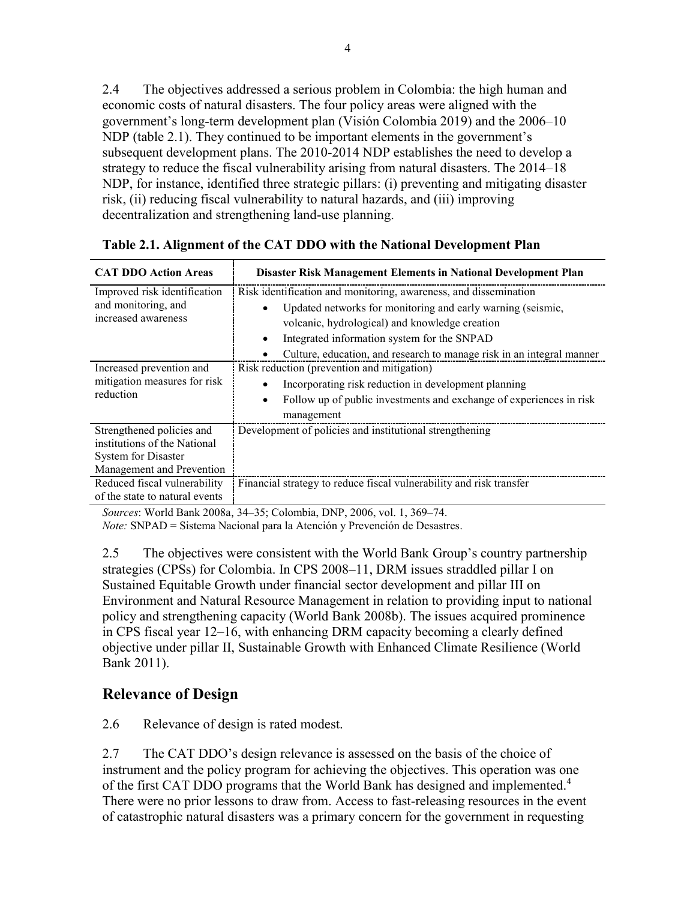2.4 The objectives addressed a serious problem in Colombia: the high human and economic costs of natural disasters. The four policy areas were aligned with the government's long-term development plan (Visión Colombia 2019) and the 2006–10 NDP (table 2.1). They continued to be important elements in the government's subsequent development plans. The 2010-2014 NDP establishes the need to develop a strategy to reduce the fiscal vulnerability arising from natural disasters. The 2014–18 NDP, for instance, identified three strategic pillars: (i) preventing and mitigating disaster risk, (ii) reducing fiscal vulnerability to natural hazards, and (iii) improving decentralization and strengthening land-use planning.

| <b>CAT DDO Action Areas</b>                                                                                                                   | Disaster Risk Management Elements in National Development Plan                                                                                                                                                                                                                                            |
|-----------------------------------------------------------------------------------------------------------------------------------------------|-----------------------------------------------------------------------------------------------------------------------------------------------------------------------------------------------------------------------------------------------------------------------------------------------------------|
| Improved risk identification<br>and monitoring, and<br>increased awareness                                                                    | Risk identification and monitoring, awareness, and dissemination<br>Updated networks for monitoring and early warning (seismic,<br>volcanic, hydrological) and knowledge creation<br>Integrated information system for the SNPAD<br>Culture, education, and research to manage risk in an integral manner |
| Increased prevention and<br>mitigation measures for risk<br>reduction                                                                         | Risk reduction (prevention and mitigation)<br>Incorporating risk reduction in development planning<br>Follow up of public investments and exchange of experiences in risk<br>$\bullet$<br>management                                                                                                      |
| Strengthened policies and<br>institutions of the National<br>System for Disaster<br>Management and Prevention<br>Reduced fiscal vulnerability | Development of policies and institutional strengthening<br>Financial strategy to reduce fiscal vulnerability and risk transfer                                                                                                                                                                            |
| of the state to natural events                                                                                                                |                                                                                                                                                                                                                                                                                                           |

<span id="page-15-1"></span>

| Table 2.1. Alignment of the CAT DDO with the National Development Plan |  |  |  |
|------------------------------------------------------------------------|--|--|--|
|                                                                        |  |  |  |
|                                                                        |  |  |  |
|                                                                        |  |  |  |

*Sources*: World Bank 2008a, 34–35; Colombia, DNP, 2006, vol. 1, 369–74.

*Note:* SNPAD = Sistema Nacional para la Atención y Prevención de Desastres.

2.5 The objectives were consistent with the World Bank Group's country partnership strategies (CPSs) for Colombia. In CPS 2008–11, DRM issues straddled pillar I on Sustained Equitable Growth under financial sector development and pillar III on Environment and Natural Resource Management in relation to providing input to national policy and strengthening capacity (World Bank 2008b). The issues acquired prominence in CPS fiscal year 12–16, with enhancing DRM capacity becoming a clearly defined objective under pillar II, Sustainable Growth with Enhanced Climate Resilience (World Bank 2011).

### <span id="page-15-0"></span>**Relevance of Design**

2.6 Relevance of design is rated modest.

2.7 The CAT DDO's design relevance is assessed on the basis of the choice of instrument and the policy program for achieving the objectives. This operation was one of the first CAT DDO programs that the World Bank has designed and implemented.<sup>4</sup> There were no prior lessons to draw from. Access to fast-releasing resources in the event of catastrophic natural disasters was a primary concern for the government in requesting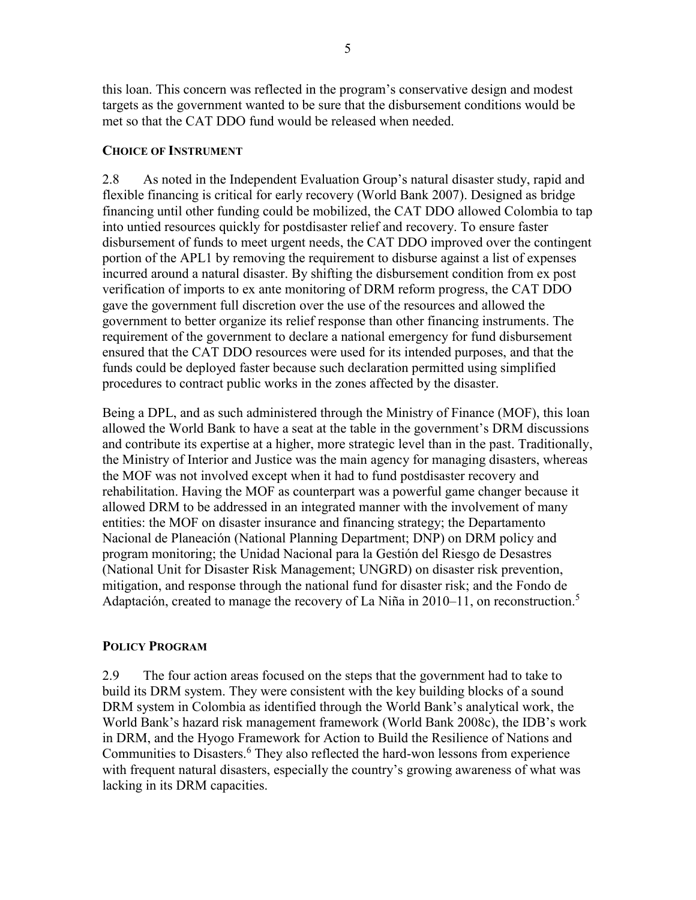5

this loan. This concern was reflected in the program's conservative design and modest targets as the government wanted to be sure that the disbursement conditions would be met so that the CAT DDO fund would be released when needed

#### <span id="page-16-0"></span>**CHOICE OF INSTRUMENT**

2.8 As noted in the Independent Evaluation Group's natural disaster study, rapid and flexible financing is critical for early recovery (World Bank 2007). Designed as bridge financing until other funding could be mobilized, the CAT DDO allowed Colombia to tap into untied resources quickly for postdisaster relief and recovery. To ensure faster disbursement of funds to meet urgent needs, the CAT DDO improved over the contingent portion of the APL1 by removing the requirement to disburse against a list of expenses incurred around a natural disaster. By shifting the disbursement condition from ex post verification of imports to ex ante monitoring of DRM reform progress, the CAT DDO gave the government full discretion over the use of the resources and allowed the government to better organize its relief response than other financing instruments. The requirement of the government to declare a national emergency for fund disbursement ensured that the CAT DDO resources were used for its intended purposes, and that the funds could be deployed faster because such declaration permitted using simplified procedures to contract public works in the zones affected by the disaster.

Being a DPL, and as such administered through the Ministry of Finance (MOF), this loan allowed the World Bank to have a seat at the table in the government's DRM discussions and contribute its expertise at a higher, more strategic level than in the past. Traditionally, the Ministry of Interior and Justice was the main agency for managing disasters, whereas the MOF was not involved except when it had to fund postdisaster recovery and rehabilitation. Having the MOF as counterpart was a powerful game changer because it allowed DRM to be addressed in an integrated manner with the involvement of many entities: the MOF on disaster insurance and financing strategy; the Departamento Nacional de Planeación (National Planning Department; DNP) on DRM policy and program monitoring; the Unidad Nacional para la Gestión del Riesgo de Desastres (National Unit for Disaster Risk Management; UNGRD) on disaster risk prevention, mitigation, and response through the national fund for disaster risk; and the Fondo de Adaptación, created to manage the recovery of La Niña in 2010–11, on reconstruction.<sup>5</sup>

#### <span id="page-16-1"></span>**POLICY PROGRAM**

2.9 The four action areas focused on the steps that the government had to take to build its DRM system. They were consistent with the key building blocks of a sound DRM system in Colombia as identified through the World Bank's analytical work, the World Bank's hazard risk management framework (World Bank 2008c), the IDB's work in DRM, and the Hyogo Framework for Action to Build the Resilience of Nations and Communities to Disasters.<sup>6</sup> They also reflected the hard-won lessons from experience with frequent natural disasters, especially the country's growing awareness of what was lacking in its DRM capacities.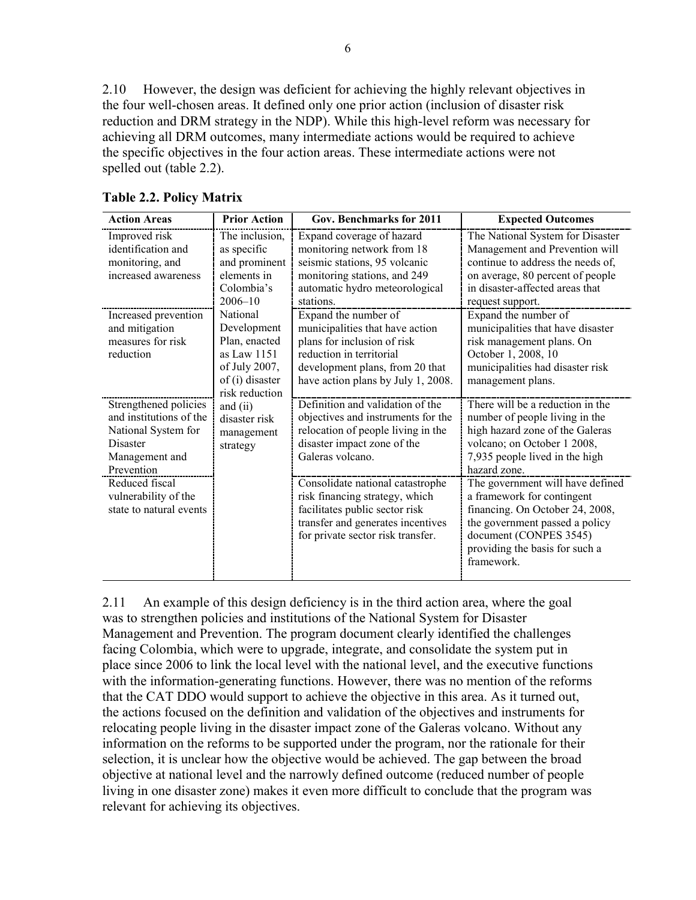2.10 However, the design was deficient for achieving the highly relevant objectives in the four well-chosen areas. It defined only one prior action (inclusion of disaster risk reduction and DRM strategy in the NDP). While this high-level reform was necessary for achieving all DRM outcomes, many intermediate actions would be required to achieve the specific objectives in the four action areas. These intermediate actions were not spelled out (table 2.2).

| <b>Action Areas</b>                                                                                                                                                                      | <b>Prior Action</b>                                                                                                                                                                     | Gov. Benchmarks for 2011                                                                                                                                                                                                                                                                                                                                               | <b>Expected Outcomes</b>                                                                                                                                                                                                                                                                                                                                                                                |
|------------------------------------------------------------------------------------------------------------------------------------------------------------------------------------------|-----------------------------------------------------------------------------------------------------------------------------------------------------------------------------------------|------------------------------------------------------------------------------------------------------------------------------------------------------------------------------------------------------------------------------------------------------------------------------------------------------------------------------------------------------------------------|---------------------------------------------------------------------------------------------------------------------------------------------------------------------------------------------------------------------------------------------------------------------------------------------------------------------------------------------------------------------------------------------------------|
| Improved risk<br>identification and<br>monitoring, and<br>increased awareness<br>Increased prevention<br>and mitigation<br>measures for risk<br>reduction                                | The inclusion,<br>as specific<br>and prominent<br>elements in<br>Colombia's<br>2006-10<br>National<br>Development<br>Plan, enacted<br>as Law $1151$<br>of July 2007,<br>of (i) disaster | Expand coverage of hazard<br>monitoring network from 18<br>seismic stations, 95 volcanic<br>monitoring stations, and 249<br>automatic hydro meteorological<br>stations.<br>Expand the number of<br>municipalities that have action<br>plans for inclusion of risk<br>reduction in territorial<br>development plans, from 20 that<br>have action plans by July 1, 2008. | The National System for Disaster<br>Management and Prevention will<br>continue to address the needs of,<br>on average, 80 percent of people<br>in disaster-affected areas that<br>request support.<br>Expand the number of<br>municipalities that have disaster<br>risk management plans. On<br>October 1, 2008, 10<br>municipalities had disaster risk<br>management plans.                            |
| Strengthened policies<br>and institutions of the<br>National System for<br>Disaster<br>Management and<br>Prevention<br>Reduced fiscal<br>vulnerability of the<br>state to natural events | risk reduction<br>and $(ii)$<br>disaster risk<br>management<br>strategy                                                                                                                 | Definition and validation of the<br>objectives and instruments for the<br>relocation of people living in the<br>disaster impact zone of the<br>Galeras volcano.<br>Consolidate national catastrophe<br>risk financing strategy, which<br>facilitates public sector risk<br>transfer and generates incentives<br>for private sector risk transfer.                      | There will be a reduction in the<br>number of people living in the<br>high hazard zone of the Galeras<br>volcano; on October 1 2008,<br>7,935 people lived in the high<br>hazard zone.<br>The government will have defined<br>a framework for contingent<br>financing. On October 24, 2008,<br>the government passed a policy<br>document (CONPES 3545)<br>providing the basis for such a<br>framework. |

<span id="page-17-0"></span>**Table 2.2. Policy Matrix**

2.11 An example of this design deficiency is in the third action area, where the goal was to strengthen policies and institutions of the National System for Disaster Management and Prevention. The program document clearly identified the challenges facing Colombia, which were to upgrade, integrate, and consolidate the system put in place since 2006 to link the local level with the national level, and the executive functions with the information-generating functions. However, there was no mention of the reforms that the CAT DDO would support to achieve the objective in this area. As it turned out, the actions focused on the definition and validation of the objectives and instruments for relocating people living in the disaster impact zone of the Galeras volcano. Without any information on the reforms to be supported under the program, nor the rationale for their selection, it is unclear how the objective would be achieved. The gap between the broad objective at national level and the narrowly defined outcome (reduced number of people living in one disaster zone) makes it even more difficult to conclude that the program was relevant for achieving its objectives.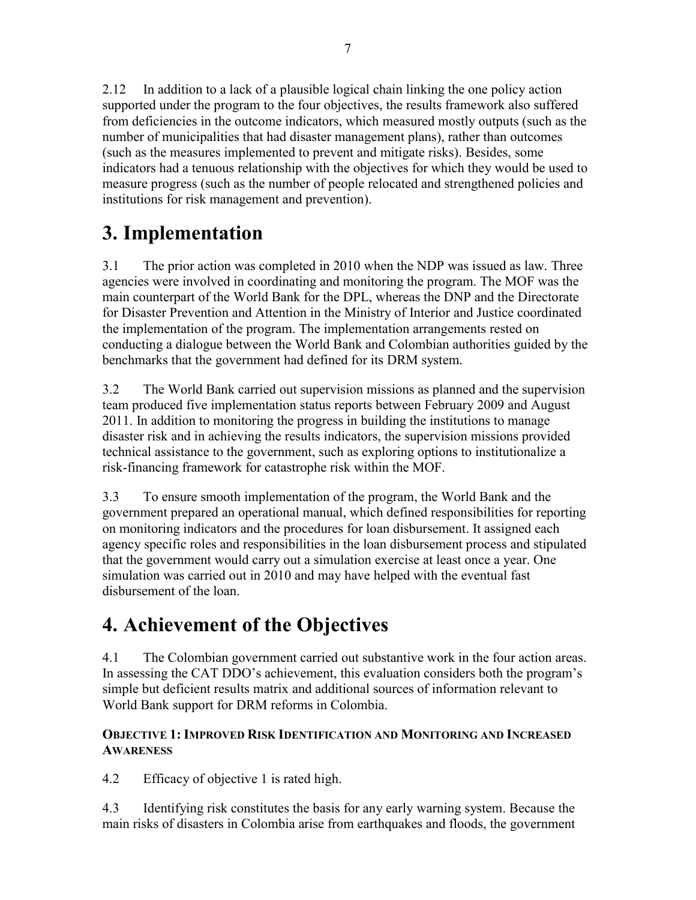2.12 In addition to a lack of a plausible logical chain linking the one policy action supported under the program to the four objectives, the results framework also suffered from deficiencies in the outcome indicators, which measured mostly outputs (such as the number of municipalities that had disaster management plans), rather than outcomes (such as the measures implemented to prevent and mitigate risks). Besides, some indicators had a tenuous relationship with the objectives for which they would be used to measure progress (such as the number of people relocated and strengthened policies and institutions for risk management and prevention).

## <span id="page-18-0"></span>**3. Implementation**

3.1 The prior action was completed in 2010 when the NDP was issued as law. Three agencies were involved in coordinating and monitoring the program. The MOF was the main counterpart of the World Bank for the DPL, whereas the DNP and the Directorate for Disaster Prevention and Attention in the Ministry of Interior and Justice coordinated the implementation of the program. The implementation arrangements rested on conducting a dialogue between the World Bank and Colombian authorities guided by the benchmarks that the government had defined for its DRM system.

3.2 The World Bank carried out supervision missions as planned and the supervision team produced five implementation status reports between February 2009 and August 2011. In addition to monitoring the progress in building the institutions to manage disaster risk and in achieving the results indicators, the supervision missions provided technical assistance to the government, such as exploring options to institutionalize a risk-financing framework for catastrophe risk within the MOF.

3.3 To ensure smooth implementation of the program, the World Bank and the government prepared an operational manual, which defined responsibilities for reporting on monitoring indicators and the procedures for loan disbursement. It assigned each agency specific roles and responsibilities in the loan disbursement process and stipulated that the government would carry out a simulation exercise at least once a year. One simulation was carried out in 2010 and may have helped with the eventual fast disbursement of the loan.

## <span id="page-18-1"></span>**4. Achievement of the Objectives**

4.1 The Colombian government carried out substantive work in the four action areas. In assessing the CAT DDO's achievement, this evaluation considers both the program's simple but deficient results matrix and additional sources of information relevant to World Bank support for DRM reforms in Colombia.

### <span id="page-18-2"></span>**OBJECTIVE 1: IMPROVED RISK IDENTIFICATION AND MONITORING AND INCREASED AWARENESS**

4.2 Efficacy of objective 1 is rated high.

4.3 Identifying risk constitutes the basis for any early warning system. Because the main risks of disasters in Colombia arise from earthquakes and floods, the government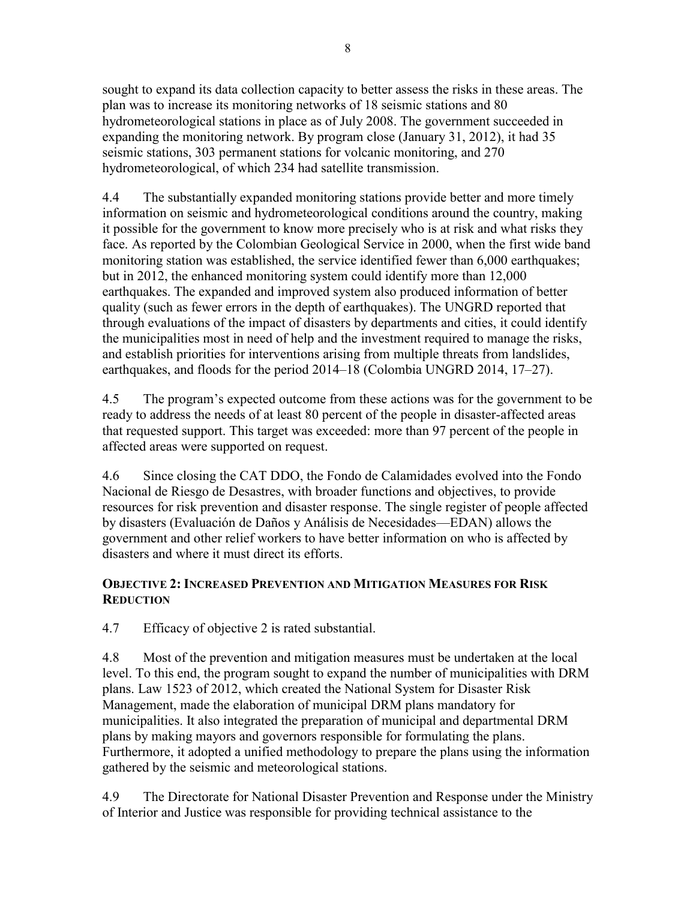sought to expand its data collection capacity to better assess the risks in these areas. The plan was to increase its monitoring networks of 18 seismic stations and 80 hydrometeorological stations in place as of July 2008. The government succeeded in expanding the monitoring network. By program close (January 31, 2012), it had 35 seismic stations, 303 permanent stations for volcanic monitoring, and 270 hydrometeorological, of which 234 had satellite transmission.

4.4 The substantially expanded monitoring stations provide better and more timely information on seismic and hydrometeorological conditions around the country, making it possible for the government to know more precisely who is at risk and what risks they face. As reported by the Colombian Geological Service in 2000, when the first wide band monitoring station was established, the service identified fewer than 6,000 earthquakes; but in 2012, the enhanced monitoring system could identify more than 12,000 earthquakes. The expanded and improved system also produced information of better quality (such as fewer errors in the depth of earthquakes). The UNGRD reported that through evaluations of the impact of disasters by departments and cities, it could identify the municipalities most in need of help and the investment required to manage the risks, and establish priorities for interventions arising from multiple threats from landslides, earthquakes, and floods for the period 2014–18 (Colombia UNGRD 2014, 17–27).

4.5 The program's expected outcome from these actions was for the government to be ready to address the needs of at least 80 percent of the people in disaster-affected areas that requested support. This target was exceeded: more than 97 percent of the people in affected areas were supported on request.

4.6 Since closing the CAT DDO, the Fondo de Calamidades evolved into the Fondo Nacional de Riesgo de Desastres, with broader functions and objectives, to provide resources for risk prevention and disaster response. The single register of people affected by disasters (Evaluación de Daños y Análisis de Necesidades—EDAN) allows the government and other relief workers to have better information on who is affected by disasters and where it must direct its efforts.

#### <span id="page-19-0"></span>**OBJECTIVE 2: INCREASED PREVENTION AND MITIGATION MEASURES FOR RISK REDUCTION**

4.7 Efficacy of objective 2 is rated substantial.

4.8 Most of the prevention and mitigation measures must be undertaken at the local level. To this end, the program sought to expand the number of municipalities with DRM plans. Law 1523 of 2012, which created the National System for Disaster Risk Management, made the elaboration of municipal DRM plans mandatory for municipalities. It also integrated the preparation of municipal and departmental DRM plans by making mayors and governors responsible for formulating the plans. Furthermore, it adopted a unified methodology to prepare the plans using the information gathered by the seismic and meteorological stations.

4.9 The Directorate for National Disaster Prevention and Response under the Ministry of Interior and Justice was responsible for providing technical assistance to the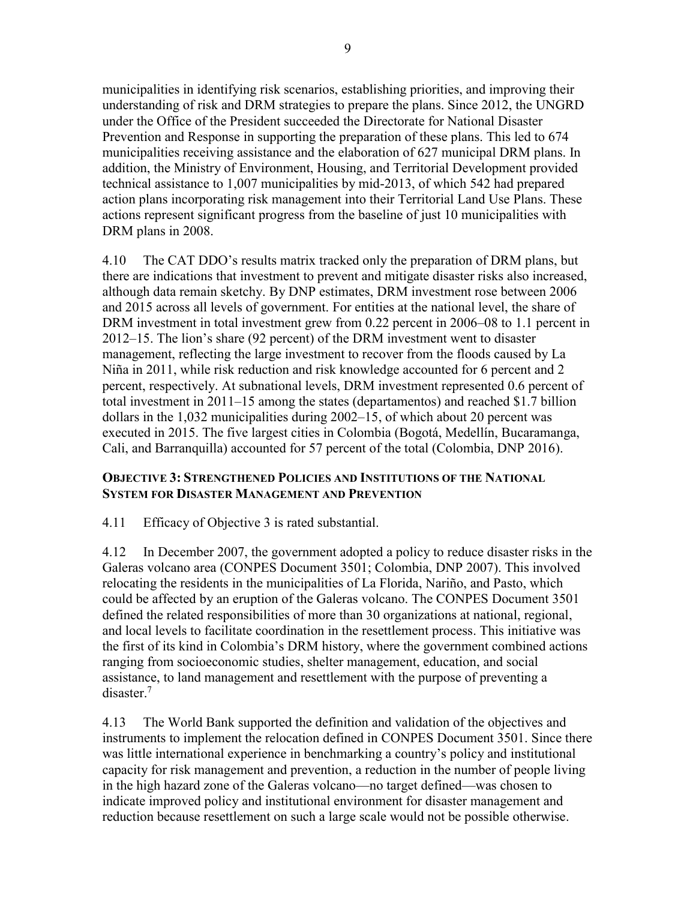municipalities in identifying risk scenarios, establishing priorities, and improving their understanding of risk and DRM strategies to prepare the plans. Since 2012, the UNGRD under the Office of the President succeeded the Directorate for National Disaster Prevention and Response in supporting the preparation of these plans. This led to 674 municipalities receiving assistance and the elaboration of 627 municipal DRM plans. In addition, the Ministry of Environment, Housing, and Territorial Development provided technical assistance to 1,007 municipalities by mid-2013, of which 542 had prepared action plans incorporating risk management into their Territorial Land Use Plans. These actions represent significant progress from the baseline of just 10 municipalities with DRM plans in 2008.

4.10 The CAT DDO's results matrix tracked only the preparation of DRM plans, but there are indications that investment to prevent and mitigate disaster risks also increased, although data remain sketchy. By DNP estimates, DRM investment rose between 2006 and 2015 across all levels of government. For entities at the national level, the share of DRM investment in total investment grew from 0.22 percent in 2006–08 to 1.1 percent in 2012–15. The lion's share (92 percent) of the DRM investment went to disaster management, reflecting the large investment to recover from the floods caused by La Niña in 2011, while risk reduction and risk knowledge accounted for 6 percent and 2 percent, respectively. At subnational levels, DRM investment represented 0.6 percent of total investment in 2011–15 among the states (departamentos) and reached \$1.7 billion dollars in the 1,032 municipalities during 2002–15, of which about 20 percent was executed in 2015. The five largest cities in Colombia (Bogotá, Medellín, Bucaramanga, Cali, and Barranquilla) accounted for 57 percent of the total (Colombia, DNP 2016).

#### <span id="page-20-0"></span>**OBJECTIVE 3: STRENGTHENED POLICIES AND INSTITUTIONS OF THE NATIONAL SYSTEM FOR DISASTER MANAGEMENT AND PREVENTION**

4.11 Efficacy of Objective 3 is rated substantial.

4.12 In December 2007, the government adopted a policy to reduce disaster risks in the Galeras volcano area (CONPES Document 3501; Colombia, DNP 2007). This involved relocating the residents in the municipalities of La Florida, Nariño, and Pasto, which could be affected by an eruption of the Galeras volcano. The CONPES Document 3501 defined the related responsibilities of more than 30 organizations at national, regional, and local levels to facilitate coordination in the resettlement process. This initiative was the first of its kind in Colombia's DRM history, where the government combined actions ranging from socioeconomic studies, shelter management, education, and social assistance, to land management and resettlement with the purpose of preventing a disaster.<sup>7</sup>

4.13 The World Bank supported the definition and validation of the objectives and instruments to implement the relocation defined in CONPES Document 3501. Since there was little international experience in benchmarking a country's policy and institutional capacity for risk management and prevention, a reduction in the number of people living in the high hazard zone of the Galeras volcano—no target defined—was chosen to indicate improved policy and institutional environment for disaster management and reduction because resettlement on such a large scale would not be possible otherwise.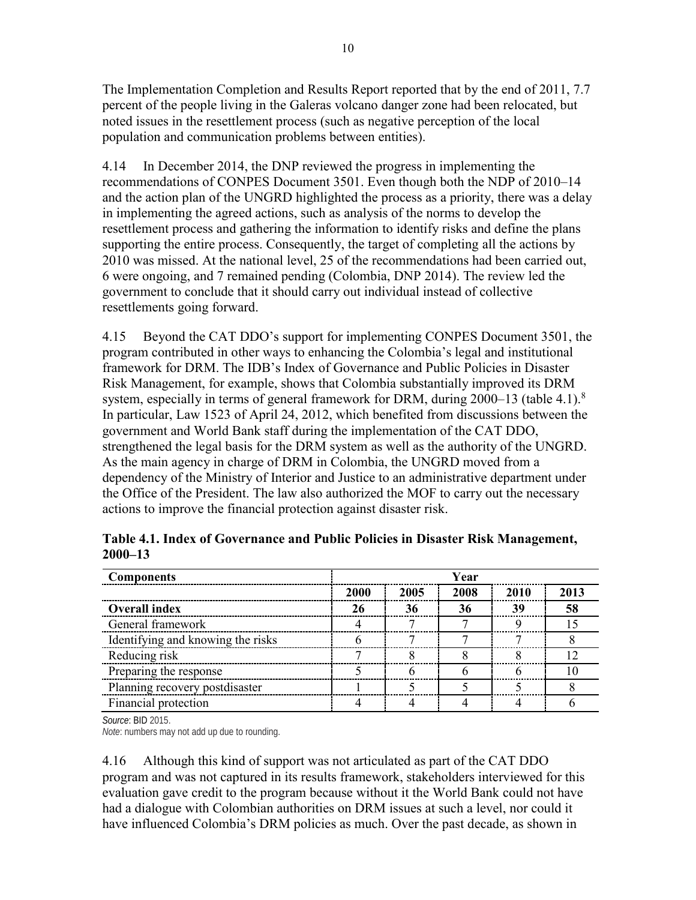The Implementation Completion and Results Report reported that by the end of 2011, 7.7 percent of the people living in the Galeras volcano danger zone had been relocated, but noted issues in the resettlement process (such as negative perception of the local population and communication problems between entities).

4.14 In December 2014, the DNP reviewed the progress in implementing the recommendations of CONPES Document 3501. Even though both the NDP of 2010–14 and the action plan of the UNGRD highlighted the process as a priority, there was a delay in implementing the agreed actions, such as analysis of the norms to develop the resettlement process and gathering the information to identify risks and define the plans supporting the entire process. Consequently, the target of completing all the actions by 2010 was missed. At the national level, 25 of the recommendations had been carried out, 6 were ongoing, and 7 remained pending (Colombia, DNP 2014). The review led the government to conclude that it should carry out individual instead of collective resettlements going forward.

4.15 Beyond the CAT DDO's support for implementing CONPES Document 3501, the program contributed in other ways to enhancing the Colombia's legal and institutional framework for DRM. The IDB's Index of Governance and Public Policies in Disaster Risk Management, for example, shows that Colombia substantially improved its DRM system, especially in terms of general framework for DRM, during  $2000-13$  (table 4.1).<sup>8</sup> In particular, Law 1523 of April 24, 2012, which benefited from discussions between the government and World Bank staff during the implementation of the CAT DDO, strengthened the legal basis for the DRM system as well as the authority of the UNGRD. As the main agency in charge of DRM in Colombia, the UNGRD moved from a dependency of the Ministry of Interior and Justice to an administrative department under the Office of the President. The law also authorized the MOF to carry out the necessary actions to improve the financial protection against disaster risk.

| <b>Components</b>                 | Year |      |      |      |      |
|-----------------------------------|------|------|------|------|------|
|                                   | 2000 | 2005 | 2008 | 2010 | 2013 |
| <b>Overall index</b>              | 26   | 36   | 36   | 39   | 58   |
| General framework                 |      |      |      |      |      |
| Identifying and knowing the risks |      |      |      |      |      |
| Reducing risk                     |      |      |      |      |      |
| Preparing the response            |      |      |      |      |      |
| Planning recovery postdisaster    |      |      |      |      |      |
| Financial protection              |      |      |      |      |      |

<span id="page-21-0"></span>**Table 4.1. Index of Governance and Public Policies in Disaster Risk Management, 2000–13**

*Source*: BID 2015.

*Note*: numbers may not add up due to rounding.

4.16 Although this kind of support was not articulated as part of the CAT DDO program and was not captured in its results framework, stakeholders interviewed for this evaluation gave credit to the program because without it the World Bank could not have had a dialogue with Colombian authorities on DRM issues at such a level, nor could it have influenced Colombia's DRM policies as much. Over the past decade, as shown in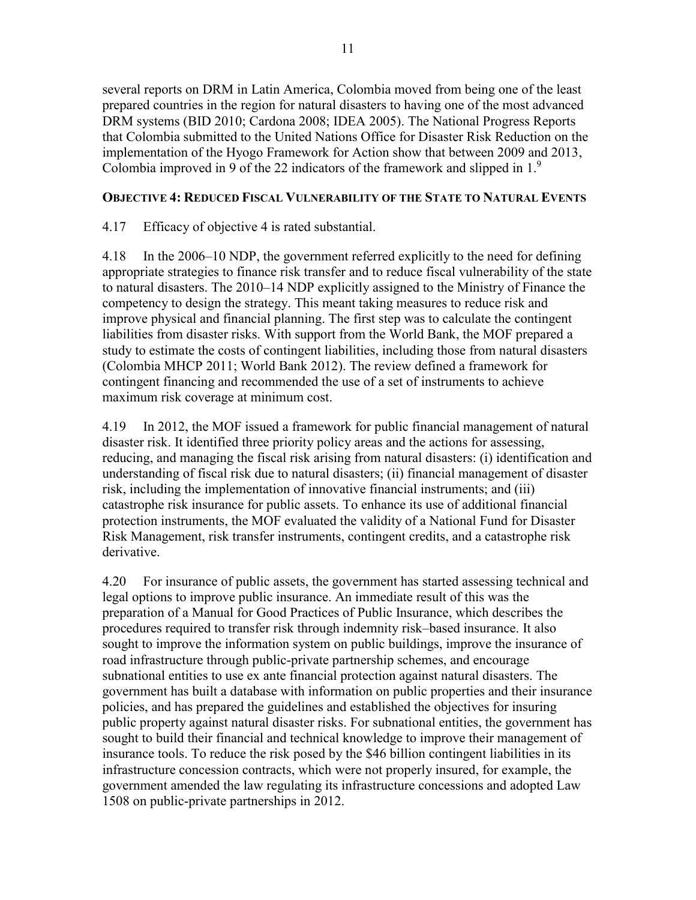several reports on DRM in Latin America, Colombia moved from being one of the least prepared countries in the region for natural disasters to having one of the most advanced DRM systems (BID 2010; Cardona 2008; IDEA 2005). The National Progress Reports that Colombia submitted to the United Nations Office for Disaster Risk Reduction on the implementation of the Hyogo Framework for Action show that between 2009 and 2013, Colombia improved in 9 of the 22 indicators of the framework and slipped in 1.9

#### <span id="page-22-0"></span>**OBJECTIVE 4: REDUCED FISCAL VULNERABILITY OF THE STATE TO NATURAL EVENTS**

4.17 Efficacy of objective 4 is rated substantial.

4.18 In the 2006–10 NDP, the government referred explicitly to the need for defining appropriate strategies to finance risk transfer and to reduce fiscal vulnerability of the state to natural disasters. The 2010–14 NDP explicitly assigned to the Ministry of Finance the competency to design the strategy. This meant taking measures to reduce risk and improve physical and financial planning. The first step was to calculate the contingent liabilities from disaster risks. With support from the World Bank, the MOF prepared a study to estimate the costs of contingent liabilities, including those from natural disasters (Colombia MHCP 2011; World Bank 2012). The review defined a framework for contingent financing and recommended the use of a set of instruments to achieve maximum risk coverage at minimum cost.

4.19 In 2012, the MOF issued a framework for public financial management of natural disaster risk. It identified three priority policy areas and the actions for assessing, reducing, and managing the fiscal risk arising from natural disasters: (i) identification and understanding of fiscal risk due to natural disasters; (ii) financial management of disaster risk, including the implementation of innovative financial instruments; and (iii) catastrophe risk insurance for public assets. To enhance its use of additional financial protection instruments, the MOF evaluated the validity of a National Fund for Disaster Risk Management, risk transfer instruments, contingent credits, and a catastrophe risk derivative.

4.20 For insurance of public assets, the government has started assessing technical and legal options to improve public insurance. An immediate result of this was the preparation of a Manual for Good Practices of Public Insurance, which describes the procedures required to transfer risk through indemnity risk–based insurance. It also sought to improve the information system on public buildings, improve the insurance of road infrastructure through public-private partnership schemes, and encourage subnational entities to use ex ante financial protection against natural disasters. The government has built a database with information on public properties and their insurance policies, and has prepared the guidelines and established the objectives for insuring public property against natural disaster risks. For subnational entities, the government has sought to build their financial and technical knowledge to improve their management of insurance tools. To reduce the risk posed by the \$46 billion contingent liabilities in its infrastructure concession contracts, which were not properly insured, for example, the government amended the law regulating its infrastructure concessions and adopted Law 1508 on public-private partnerships in 2012.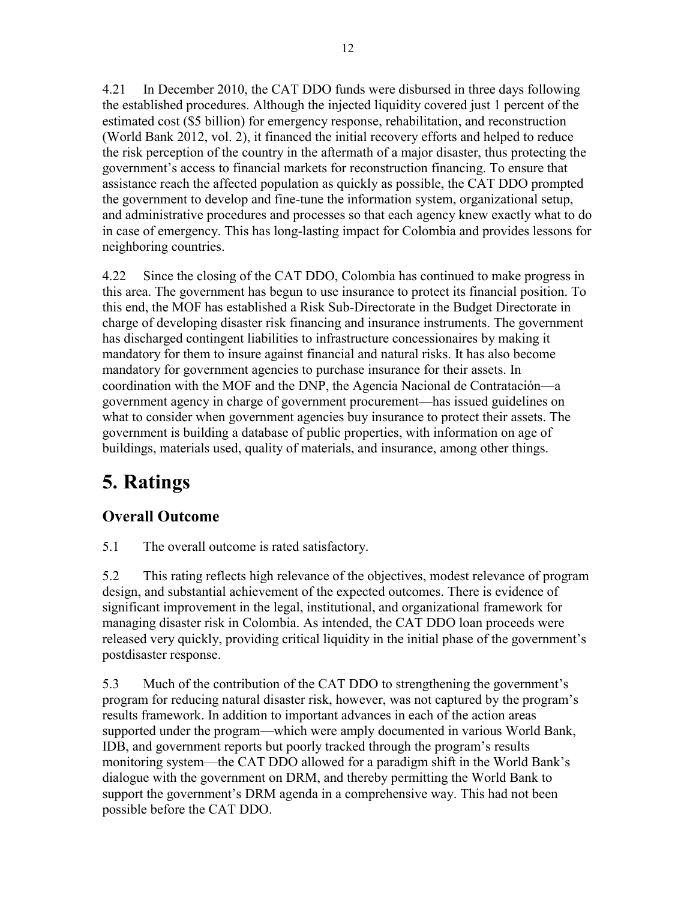4.21 In December 2010, the CAT DDO funds were disbursed in three days following the established procedures. Although the injected liquidity covered just 1 percent of the estimated cost (\$5 billion) for emergency response, rehabilitation, and reconstruction (World Bank 2012, vol. 2), it financed the initial recovery efforts and helped to reduce the risk perception of the country in the aftermath of a major disaster, thus protecting the government's access to financial markets for reconstruction financing. To ensure that assistance reach the affected population as quickly as possible, the CAT DDO prompted the government to develop and fine-tune the information system, organizational setup, and administrative procedures and processes so that each agency knew exactly what to do in case of emergency. This has long-lasting impact for Colombia and provides lessons for neighboring countries.

4.22 Since the closing of the CAT DDO, Colombia has continued to make progress in this area. The government has begun to use insurance to protect its financial position. To this end, the MOF has established a Risk Sub-Directorate in the Budget Directorate in charge of developing disaster risk financing and insurance instruments. The government has discharged contingent liabilities to infrastructure concessionaires by making it mandatory for them to insure against financial and natural risks. It has also become mandatory for government agencies to purchase insurance for their assets. In coordination with the MOF and the DNP, the Agencia Nacional de Contratación—a government agency in charge of government procurement—has issued guidelines on what to consider when government agencies buy insurance to protect their assets. The government is building a database of public properties, with information on age of buildings, materials used, quality of materials, and insurance, among other things.

## <span id="page-23-0"></span>**5. Ratings**

## <span id="page-23-1"></span>**Overall Outcome**

5.1 The overall outcome is rated satisfactory.

5.2 This rating reflects high relevance of the objectives, modest relevance of program design, and substantial achievement of the expected outcomes. There is evidence of significant improvement in the legal, institutional, and organizational framework for managing disaster risk in Colombia. As intended, the CAT DDO loan proceeds were released very quickly, providing critical liquidity in the initial phase of the government's postdisaster response.

5.3 Much of the contribution of the CAT DDO to strengthening the government's program for reducing natural disaster risk, however, was not captured by the program's results framework. In addition to important advances in each of the action areas supported under the program—which were amply documented in various World Bank, IDB, and government reports but poorly tracked through the program's results monitoring system—the CAT DDO allowed for a paradigm shift in the World Bank's dialogue with the government on DRM, and thereby permitting the World Bank to support the government's DRM agenda in a comprehensive way. This had not been possible before the CAT DDO.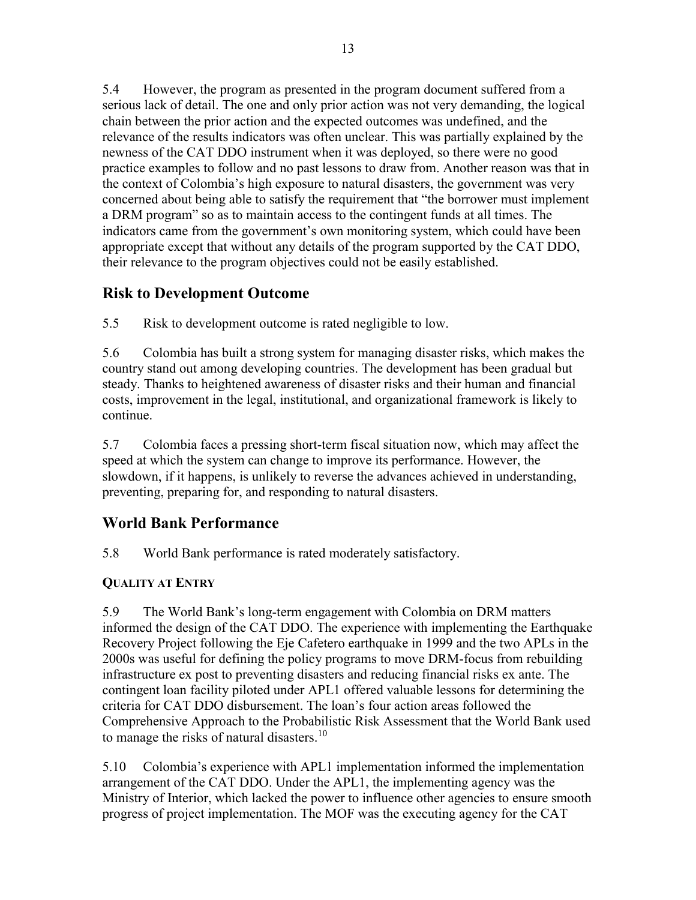5.4 However, the program as presented in the program document suffered from a serious lack of detail. The one and only prior action was not very demanding, the logical chain between the prior action and the expected outcomes was undefined, and the relevance of the results indicators was often unclear. This was partially explained by the newness of the CAT DDO instrument when it was deployed, so there were no good practice examples to follow and no past lessons to draw from. Another reason was that in the context of Colombia's high exposure to natural disasters, the government was very concerned about being able to satisfy the requirement that "the borrower must implement a DRM program" so as to maintain access to the contingent funds at all times. The indicators came from the government's own monitoring system, which could have been appropriate except that without any details of the program supported by the CAT DDO, their relevance to the program objectives could not be easily established.

## <span id="page-24-0"></span>**Risk to Development Outcome**

5.5 Risk to development outcome is rated negligible to low.

5.6 Colombia has built a strong system for managing disaster risks, which makes the country stand out among developing countries. The development has been gradual but steady. Thanks to heightened awareness of disaster risks and their human and financial costs, improvement in the legal, institutional, and organizational framework is likely to continue.

5.7 Colombia faces a pressing short-term fiscal situation now, which may affect the speed at which the system can change to improve its performance. However, the slowdown, if it happens, is unlikely to reverse the advances achieved in understanding, preventing, preparing for, and responding to natural disasters.

## <span id="page-24-1"></span>**World Bank Performance**

5.8 World Bank performance is rated moderately satisfactory.

## <span id="page-24-2"></span>**QUALITY AT ENTRY**

5.9 The World Bank's long-term engagement with Colombia on DRM matters informed the design of the CAT DDO. The experience with implementing the Earthquake Recovery Project following the Eje Cafetero earthquake in 1999 and the two APLs in the 2000s was useful for defining the policy programs to move DRM-focus from rebuilding infrastructure ex post to preventing disasters and reducing financial risks ex ante. The contingent loan facility piloted under APL1 offered valuable lessons for determining the criteria for CAT DDO disbursement. The loan's four action areas followed the Comprehensive Approach to the Probabilistic Risk Assessment that the World Bank used to manage the risks of natural disasters.<sup>10</sup>

5.10 Colombia's experience with APL1 implementation informed the implementation arrangement of the CAT DDO. Under the APL1, the implementing agency was the Ministry of Interior, which lacked the power to influence other agencies to ensure smooth progress of project implementation. The MOF was the executing agency for the CAT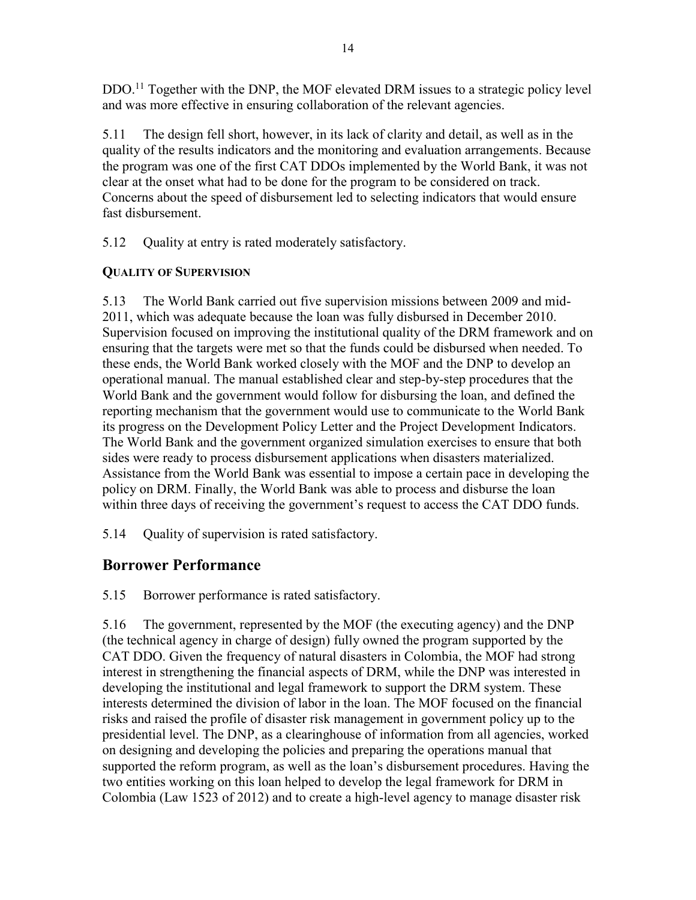DDO.<sup>11</sup> Together with the DNP, the MOF elevated DRM issues to a strategic policy level and was more effective in ensuring collaboration of the relevant agencies.

5.11 The design fell short, however, in its lack of clarity and detail, as well as in the quality of the results indicators and the monitoring and evaluation arrangements. Because the program was one of the first CAT DDOs implemented by the World Bank, it was not clear at the onset what had to be done for the program to be considered on track. Concerns about the speed of disbursement led to selecting indicators that would ensure fast disbursement.

5.12 Quality at entry is rated moderately satisfactory.

## <span id="page-25-0"></span>**QUALITY OF SUPERVISION**

5.13 The World Bank carried out five supervision missions between 2009 and mid-2011, which was adequate because the loan was fully disbursed in December 2010. Supervision focused on improving the institutional quality of the DRM framework and on ensuring that the targets were met so that the funds could be disbursed when needed. To these ends, the World Bank worked closely with the MOF and the DNP to develop an operational manual. The manual established clear and step-by-step procedures that the World Bank and the government would follow for disbursing the loan, and defined the reporting mechanism that the government would use to communicate to the World Bank its progress on the Development Policy Letter and the Project Development Indicators. The World Bank and the government organized simulation exercises to ensure that both sides were ready to process disbursement applications when disasters materialized. Assistance from the World Bank was essential to impose a certain pace in developing the policy on DRM. Finally, the World Bank was able to process and disburse the loan within three days of receiving the government's request to access the CAT DDO funds.

5.14 Quality of supervision is rated satisfactory.

## <span id="page-25-1"></span>**Borrower Performance**

5.15 Borrower performance is rated satisfactory.

5.16 The government, represented by the MOF (the executing agency) and the DNP (the technical agency in charge of design) fully owned the program supported by the CAT DDO. Given the frequency of natural disasters in Colombia, the MOF had strong interest in strengthening the financial aspects of DRM, while the DNP was interested in developing the institutional and legal framework to support the DRM system. These interests determined the division of labor in the loan. The MOF focused on the financial risks and raised the profile of disaster risk management in government policy up to the presidential level. The DNP, as a clearinghouse of information from all agencies, worked on designing and developing the policies and preparing the operations manual that supported the reform program, as well as the loan's disbursement procedures. Having the two entities working on this loan helped to develop the legal framework for DRM in Colombia (Law 1523 of 2012) and to create a high-level agency to manage disaster risk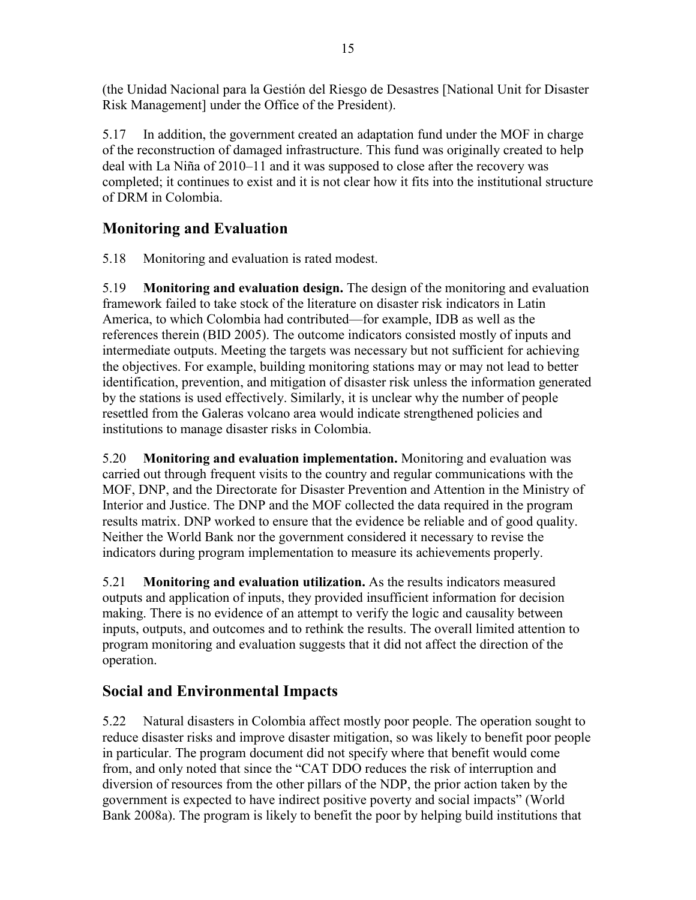(the Unidad Nacional para la Gestión del Riesgo de Desastres [National Unit for Disaster Risk Management] under the Office of the President).

5.17 In addition, the government created an adaptation fund under the MOF in charge of the reconstruction of damaged infrastructure. This fund was originally created to help deal with La Niña of 2010–11 and it was supposed to close after the recovery was completed; it continues to exist and it is not clear how it fits into the institutional structure of DRM in Colombia.

## <span id="page-26-0"></span>**Monitoring and Evaluation**

5.18 Monitoring and evaluation is rated modest.

5.19 **Monitoring and evaluation design.** The design of the monitoring and evaluation framework failed to take stock of the literature on disaster risk indicators in Latin America, to which Colombia had contributed—for example, IDB as well as the references therein (BID 2005). The outcome indicators consisted mostly of inputs and intermediate outputs. Meeting the targets was necessary but not sufficient for achieving the objectives. For example, building monitoring stations may or may not lead to better identification, prevention, and mitigation of disaster risk unless the information generated by the stations is used effectively. Similarly, it is unclear why the number of people resettled from the Galeras volcano area would indicate strengthened policies and institutions to manage disaster risks in Colombia.

5.20 **Monitoring and evaluation implementation.** Monitoring and evaluation was carried out through frequent visits to the country and regular communications with the MOF, DNP, and the Directorate for Disaster Prevention and Attention in the Ministry of Interior and Justice. The DNP and the MOF collected the data required in the program results matrix. DNP worked to ensure that the evidence be reliable and of good quality. Neither the World Bank nor the government considered it necessary to revise the indicators during program implementation to measure its achievements properly.

5.21 **Monitoring and evaluation utilization.** As the results indicators measured outputs and application of inputs, they provided insufficient information for decision making. There is no evidence of an attempt to verify the logic and causality between inputs, outputs, and outcomes and to rethink the results. The overall limited attention to program monitoring and evaluation suggests that it did not affect the direction of the operation.

## <span id="page-26-1"></span>**Social and Environmental Impacts**

5.22 Natural disasters in Colombia affect mostly poor people. The operation sought to reduce disaster risks and improve disaster mitigation, so was likely to benefit poor people in particular. The program document did not specify where that benefit would come from, and only noted that since the "CAT DDO reduces the risk of interruption and diversion of resources from the other pillars of the NDP, the prior action taken by the government is expected to have indirect positive poverty and social impacts" (World Bank 2008a). The program is likely to benefit the poor by helping build institutions that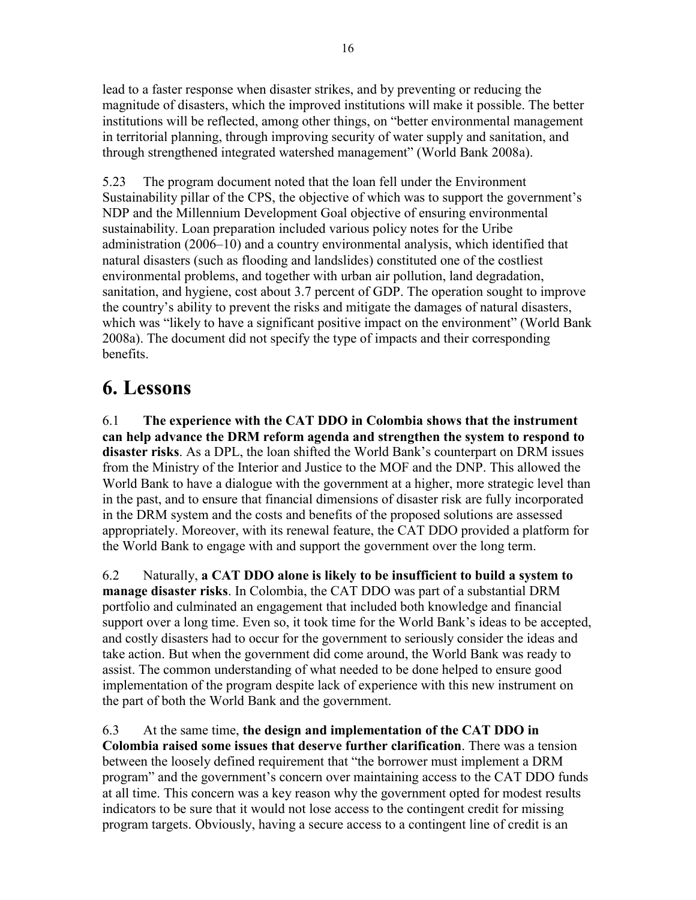lead to a faster response when disaster strikes, and by preventing or reducing the magnitude of disasters, which the improved institutions will make it possible. The better institutions will be reflected, among other things, on "better environmental management in territorial planning, through improving security of water supply and sanitation, and through strengthened integrated watershed management" (World Bank 2008a).

5.23 The program document noted that the loan fell under the Environment Sustainability pillar of the CPS, the objective of which was to support the government's NDP and the Millennium Development Goal objective of ensuring environmental sustainability. Loan preparation included various policy notes for the Uribe administration (2006–10) and a country environmental analysis, which identified that natural disasters (such as flooding and landslides) constituted one of the costliest environmental problems, and together with urban air pollution, land degradation, sanitation, and hygiene, cost about 3.7 percent of GDP. The operation sought to improve the country's ability to prevent the risks and mitigate the damages of natural disasters, which was "likely to have a significant positive impact on the environment" (World Bank 2008a). The document did not specify the type of impacts and their corresponding benefits.

## <span id="page-27-0"></span>**6. Lessons**

6.1 **The experience with the CAT DDO in Colombia shows that the instrument can help advance the DRM reform agenda and strengthen the system to respond to disaster risks**. As a DPL, the loan shifted the World Bank's counterpart on DRM issues from the Ministry of the Interior and Justice to the MOF and the DNP. This allowed the World Bank to have a dialogue with the government at a higher, more strategic level than in the past, and to ensure that financial dimensions of disaster risk are fully incorporated in the DRM system and the costs and benefits of the proposed solutions are assessed appropriately. Moreover, with its renewal feature, the CAT DDO provided a platform for the World Bank to engage with and support the government over the long term.

6.2 Naturally, **a CAT DDO alone is likely to be insufficient to build a system to manage disaster risks**. In Colombia, the CAT DDO was part of a substantial DRM portfolio and culminated an engagement that included both knowledge and financial support over a long time. Even so, it took time for the World Bank's ideas to be accepted, and costly disasters had to occur for the government to seriously consider the ideas and take action. But when the government did come around, the World Bank was ready to assist. The common understanding of what needed to be done helped to ensure good implementation of the program despite lack of experience with this new instrument on the part of both the World Bank and the government.

6.3 At the same time, **the design and implementation of the CAT DDO in Colombia raised some issues that deserve further clarification**. There was a tension between the loosely defined requirement that "the borrower must implement a DRM program" and the government's concern over maintaining access to the CAT DDO funds at all time. This concern was a key reason why the government opted for modest results indicators to be sure that it would not lose access to the contingent credit for missing program targets. Obviously, having a secure access to a contingent line of credit is an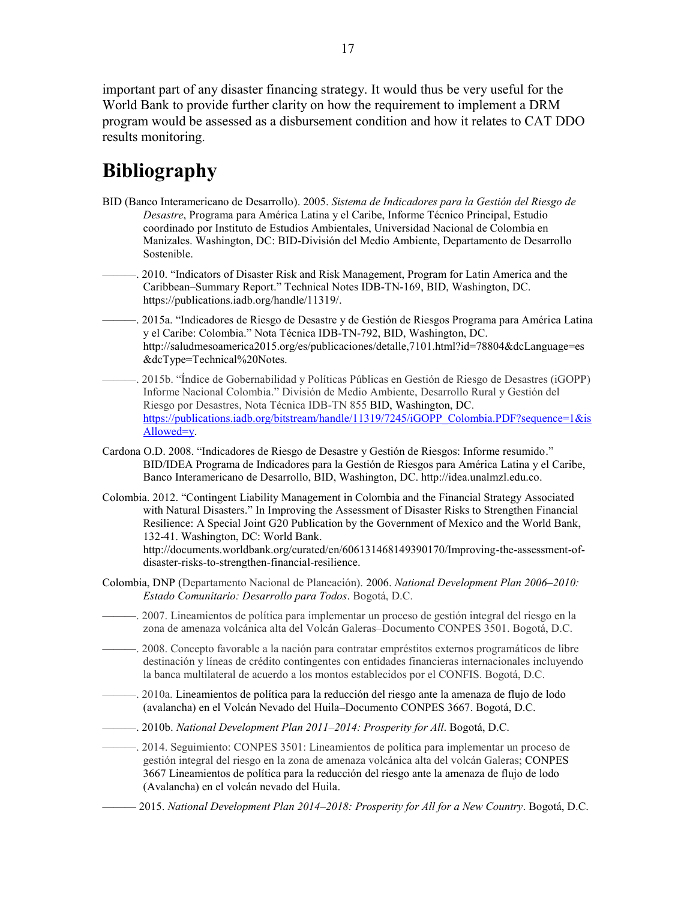important part of any disaster financing strategy. It would thus be very useful for the World Bank to provide further clarity on how the requirement to implement a DRM program would be assessed as a disbursement condition and how it relates to CAT DDO results monitoring.

## <span id="page-28-0"></span>**Bibliography**

- BID (Banco Interamericano de Desarrollo). 2005. *Sistema de Indicadores para la Gestión del Riesgo de Desastre*, Programa para América Latina y el Caribe, Informe Técnico Principal, Estudio coordinado por Instituto de Estudios Ambientales, Universidad Nacional de Colombia en Manizales. Washington, DC: BID-División del Medio Ambiente, Departamento de Desarrollo Sostenible.
- ———. 2010. "Indicators of Disaster Risk and Risk Management, Program for Latin America and the Caribbean–Summary Report." Technical Notes IDB-TN-169, BID, Washington, DC. https://publications.iadb.org/handle/11319/.
- ———. 2015a. "Indicadores de Riesgo de Desastre y de Gestión de Riesgos Programa para América Latina y el Caribe: Colombia." Nota Técnica IDB-TN-792, BID, Washington, DC. http://saludmesoamerica2015.org/es/publicaciones/detalle,7101.html?id=78804&dcLanguage=es &dcType=Technical%20Notes.
- ———. 2015b. "Índice de Gobernabilidad y Políticas Públicas en Gestión de Riesgo de Desastres (iGOPP) Informe Nacional Colombia." División de Medio Ambiente, Desarrollo Rural y Gestión del Riesgo por Desastres, Nota Técnica IDB-TN 855 BID, Washington, DC. [https://publications.iadb.org/bitstream/handle/11319/7245/iGOPP\\_Colombia.PDF?sequence=1&is](https://publications.iadb.org/bitstream/handle/11319/7245/iGOPP_Colombia.PDF?sequence=1&isAllowed=y) [Allowed=y.](https://publications.iadb.org/bitstream/handle/11319/7245/iGOPP_Colombia.PDF?sequence=1&isAllowed=y)
- Cardona O.D. 2008. "Indicadores de Riesgo de Desastre y Gestión de Riesgos: Informe resumido." BID/IDEA Programa de Indicadores para la Gestión de Riesgos para América Latina y el Caribe, Banco Interamericano de Desarrollo, BID, Washington, DC. http://idea.unalmzl.edu.co.
- Colombia. 2012. "Contingent Liability Management in Colombia and the Financial Strategy Associated with Natural Disasters." In Improving the Assessment of Disaster Risks to Strengthen Financial Resilience: A Special Joint G20 Publication by the Government of Mexico and the World Bank, 132-41. Washington, DC: World Bank.

http://documents.worldbank.org/curated/en/606131468149390170/Improving-the-assessment-ofdisaster-risks-to-strengthen-financial-resilience.

- Colombia, DNP (Departamento Nacional de Planeación). 2006. *National Development Plan 2006–2010: Estado Comunitario: Desarrollo para Todos*. Bogotá, D.C.
- ———. 2007. Lineamientos de política para implementar un proceso de gestión integral del riesgo en la zona de amenaza volcánica alta del Volcán Galeras–Documento CONPES 3501. Bogotá, D.C.
- ———. 2008. Concepto favorable a la nación para contratar empréstitos externos programáticos de libre destinación y líneas de crédito contingentes con entidades financieras internacionales incluyendo la banca multilateral de acuerdo a los montos establecidos por el CONFIS. Bogotá, D.C.
- ———. 2010a. Lineamientos de política para la reducción del riesgo ante la amenaza de flujo de lodo (avalancha) en el Volcán Nevado del Huila–Documento CONPES 3667. Bogotá, D.C.
- ———. 2010b. *National Development Plan 2011–2014: Prosperity for All*. Bogotá, D.C.

———. 2014. Seguimiento: CONPES 3501: Lineamientos de política para implementar un proceso de gestión integral del riesgo en la zona de amenaza volcánica alta del volcán Galeras; CONPES 3667 Lineamientos de política para la reducción del riesgo ante la amenaza de flujo de lodo (Avalancha) en el volcán nevado del Huila.

——— 2015. *National Development Plan 2014–2018: Prosperity for All for a New Country*. Bogotá, D.C.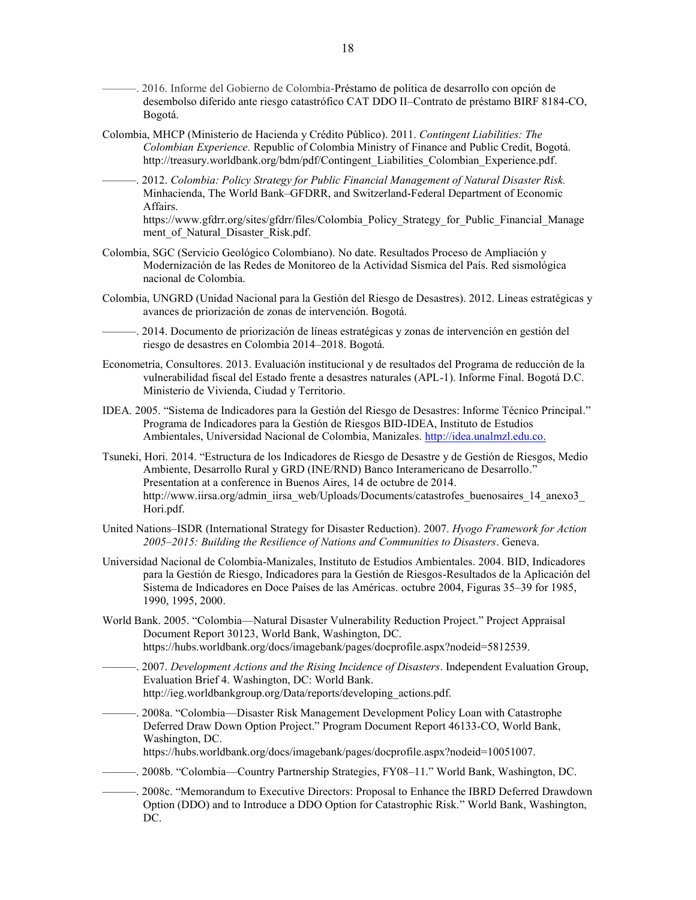- -. 2016. Informe del Gobierno de Colombia-Préstamo de política de desarrollo con opción de desembolso diferido ante riesgo catastrófico CAT DDO II–Contrato de préstamo BIRF 8184-CO, Bogotá.
- Colombia, MHCP (Ministerio de Hacienda y Crédito Público). 2011. *Contingent Liabilities: The Colombian Experience.* Republic of Colombia Ministry of Finance and Public Credit, Bogotá. http://treasury.worldbank.org/bdm/pdf/Contingent\_Liabilities\_Colombian\_Experience.pdf.
	- ———. 2012. *Colombia: Policy Strategy for Public Financial Management of Natural Disaster Risk.* Minhacienda, The World Bank–GFDRR, and Switzerland-Federal Department of Economic Affairs.

https://www.gfdrr.org/sites/gfdrr/files/Colombia\_Policy\_Strategy\_for\_Public\_Financial\_Manage ment of Natural Disaster Risk.pdf.

- Colombia, SGC (Servicio Geológico Colombiano). No date. Resultados Proceso de Ampliación y Modernización de las Redes de Monitoreo de la Actividad Sísmica del País. Red sismológica nacional de Colombia.
- Colombia, UNGRD (Unidad Nacional para la Gestión del Riesgo de Desastres). 2012. Líneas estratégicas y avances de priorización de zonas de intervención. Bogotá.
- ———. 2014. Documento de priorización de líneas estratégicas y zonas de intervención en gestión del riesgo de desastres en Colombia 2014–2018. Bogotá.
- Econometría, Consultores. 2013. Evaluación institucional y de resultados del Programa de reducción de la vulnerabilidad fiscal del Estado frente a desastres naturales (APL-1). Informe Final. Bogotá D.C. Ministerio de Vivienda, Ciudad y Territorio.
- IDEA. 2005. "Sistema de Indicadores para la Gestión del Riesgo de Desastres: Informe Técnico Principal." Programa de Indicadores para la Gestión de Riesgos BID-IDEA, Instituto de Estudios Ambientales, Universidad Nacional de Colombia, Manizales. [http://idea.unalmzl.edu.co.](http://idea.unalmzl.edu.co/)
- Tsuneki, Hori. 2014. "Estructura de los Indicadores de Riesgo de Desastre y de Gestión de Riesgos, Medio Ambiente, Desarrollo Rural y GRD (INE/RND) Banco Interamericano de Desarrollo." Presentation at a conference in Buenos Aires, 14 de octubre de 2014. http://www.iirsa.org/admin\_iirsa\_web/Uploads/Documents/catastrofes\_buenosaires\_14\_anexo3 Hori.pdf.
- United Nations–ISDR (International Strategy for Disaster Reduction). 2007. *Hyogo Framework for Action 2005–2015: Building the Resilience of Nations and Communities to Disasters*. Geneva.
- Universidad Nacional de Colombia-Manizales, Instituto de Estudios Ambientales. 2004. BID, Indicadores para la Gestión de Riesgo, Indicadores para la Gestión de Riesgos-Resultados de la Aplicación del Sistema de Indicadores en Doce Países de las Américas. octubre 2004, Figuras 35–39 for 1985, 1990, 1995, 2000.
- World Bank. 2005. "Colombia—Natural Disaster Vulnerability Reduction Project." Project Appraisal Document Report 30123, World Bank, Washington, DC. https://hubs.worldbank.org/docs/imagebank/pages/docprofile.aspx?nodeid=5812539.
- ———. 2007. *Development Actions and the Rising Incidence of Disasters*. Independent Evaluation Group, Evaluation Brief 4. Washington, DC: World Bank. http://ieg.worldbankgroup.org/Data/reports/developing\_actions.pdf.
- -. 2008a. "Colombia—Disaster Risk Management Development Policy Loan with Catastrophe Deferred Draw Down Option Project." Program Document Report 46133-CO, World Bank, Washington, DC.

https://hubs.worldbank.org/docs/imagebank/pages/docprofile.aspx?nodeid=10051007.

———. 2008b. "Colombia—Country Partnership Strategies, FY08–11." World Bank, Washington, DC.

———. 2008c. "Memorandum to Executive Directors: Proposal to Enhance the IBRD Deferred Drawdown Option (DDO) and to Introduce a DDO Option for Catastrophic Risk." World Bank, Washington, DC.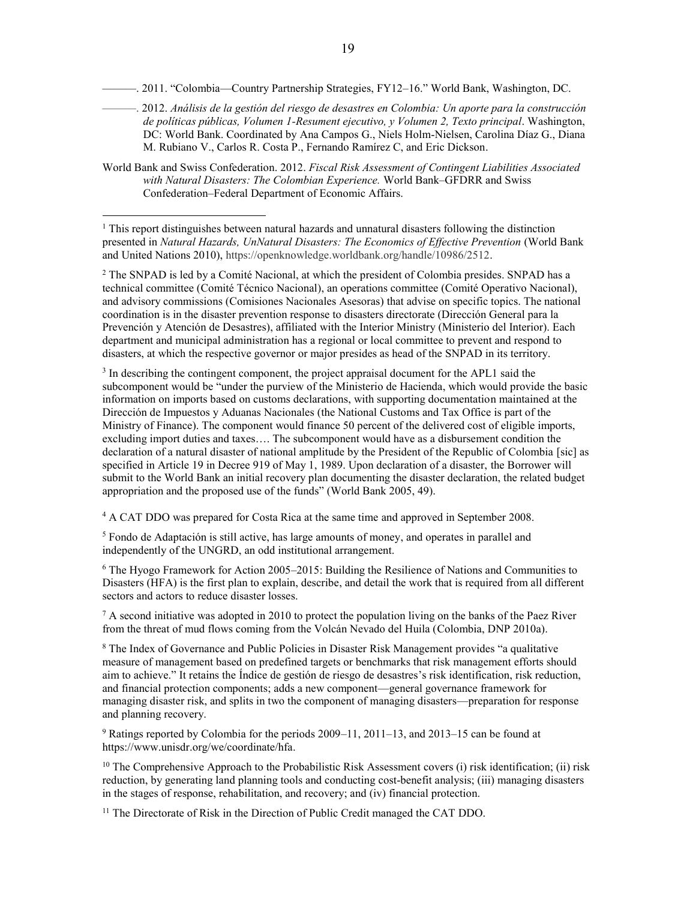———. 2011. "Colombia—Country Partnership Strategies, FY12–16." World Bank, Washington, DC.

- ———. 2012. *Análisis de la gestión del riesgo de desastres en Colombia: Un aporte para la construcción de políticas públicas, Volumen 1-Resument ejecutivo, y Volumen 2, Texto principal*. Washington, DC: World Bank. Coordinated by Ana Campos G., Niels Holm-Nielsen, Carolina Díaz G., Diana M. Rubiano V., Carlos R. Costa P., Fernando Ramírez C, and Eric Dickson.
- World Bank and Swiss Confederation. 2012. *Fiscal Risk Assessment of Contingent Liabilities Associated with Natural Disasters: The Colombian Experience.* World Bank–GFDRR and Swiss Confederation–Federal Department of Economic Affairs.

<sup>1</sup> This report distinguishes between natural hazards and unnatural disasters following the distinction presented in *Natural Hazards, UnNatural Disasters: The Economics of Effective Prevention* (World Bank and United Nations 2010), https://openknowledge.worldbank.org/handle/10986/2512.

 $\overline{a}$ 

<sup>2</sup> The SNPAD is led by a Comité Nacional, at which the president of Colombia presides. SNPAD has a technical committee (Comité Técnico Nacional), an operations committee (Comité Operativo Nacional), and advisory commissions (Comisiones Nacionales Asesoras) that advise on specific topics. The national coordination is in the disaster prevention response to disasters directorate (Dirección General para la Prevención y Atención de Desastres), affiliated with the Interior Ministry (Ministerio del Interior). Each department and municipal administration has a regional or local committee to prevent and respond to disasters, at which the respective governor or major presides as head of the SNPAD in its territory.

<sup>3</sup> In describing the contingent component, the project appraisal document for the APL1 said the subcomponent would be "under the purview of the Ministerio de Hacienda, which would provide the basic information on imports based on customs declarations, with supporting documentation maintained at the Dirección de Impuestos y Aduanas Nacionales (the National Customs and Tax Office is part of the Ministry of Finance). The component would finance 50 percent of the delivered cost of eligible imports, excluding import duties and taxes…. The subcomponent would have as a disbursement condition the declaration of a natural disaster of national amplitude by the President of the Republic of Colombia [sic] as specified in Article 19 in Decree 919 of May 1, 1989. Upon declaration of a disaster, the Borrower will submit to the World Bank an initial recovery plan documenting the disaster declaration, the related budget appropriation and the proposed use of the funds" (World Bank 2005, 49).

<sup>4</sup> A CAT DDO was prepared for Costa Rica at the same time and approved in September 2008.

 $<sup>5</sup>$  Fondo de Adaptación is still active, has large amounts of money, and operates in parallel and</sup> independently of the UNGRD, an odd institutional arrangement.

 $6$  The Hyogo Framework for Action 2005–2015: Building the Resilience of Nations and Communities to Disasters (HFA) is the first plan to explain, describe, and detail the work that is required from all different sectors and actors to reduce disaster losses.

 $7 A$  second initiative was adopted in 2010 to protect the population living on the banks of the Paez River from the threat of mud flows coming from the Volcán Nevado del Huila (Colombia, DNP 2010a).

<sup>8</sup> The Index of Governance and Public Policies in Disaster Risk Management provides "a qualitative measure of management based on predefined targets or benchmarks that risk management efforts should aim to achieve." It retains the Índice de gestión de riesgo de desastres's risk identification, risk reduction, and financial protection components; adds a new component—general governance framework for managing disaster risk, and splits in two the component of managing disasters—preparation for response and planning recovery.

<sup>9</sup> Ratings reported by Colombia for the periods 2009–11, 2011–13, and 2013–15 can be found at https://www.unisdr.org/we/coordinate/hfa.

<sup>10</sup> The Comprehensive Approach to the Probabilistic Risk Assessment covers (i) risk identification; (ii) risk reduction, by generating land planning tools and conducting cost-benefit analysis; (iii) managing disasters in the stages of response, rehabilitation, and recovery; and (iv) financial protection.

<sup>11</sup> The Directorate of Risk in the Direction of Public Credit managed the CAT DDO.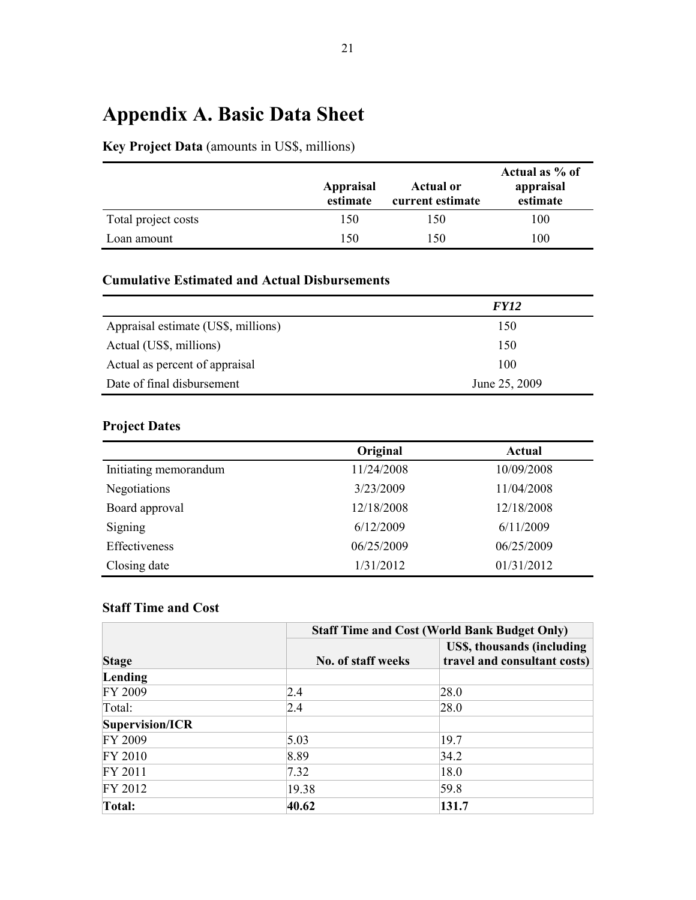## <span id="page-32-0"></span>**Appendix A. Basic Data Sheet**

## **Key Project Data** (amounts in US\$, millions)

|                     | Appraisal<br>estimate | <b>Actual or</b><br>current estimate | Actual as % of<br>appraisal<br>estimate |
|---------------------|-----------------------|--------------------------------------|-----------------------------------------|
| Total project costs | 150                   | 150                                  | 100                                     |
| Loan amount         | 150                   | 150                                  | 100                                     |

### **Cumulative Estimated and Actual Disbursements**

|                                     | <b>FY12</b>   |
|-------------------------------------|---------------|
| Appraisal estimate (US\$, millions) | 150           |
| Actual (US\$, millions)             | 150           |
| Actual as percent of appraisal      | 100           |
| Date of final disbursement          | June 25, 2009 |

### **Project Dates**

|                       | Original   | Actual     |
|-----------------------|------------|------------|
| Initiating memorandum | 11/24/2008 | 10/09/2008 |
| Negotiations          | 3/23/2009  | 11/04/2008 |
| Board approval        | 12/18/2008 | 12/18/2008 |
| Signing               | 6/12/2009  | 6/11/2009  |
| Effectiveness         | 06/25/2009 | 06/25/2009 |
| Closing date          | 1/31/2012  | 01/31/2012 |
|                       |            |            |

### **Staff Time and Cost**

|                 |                    | <b>Staff Time and Cost (World Bank Budget Only)</b>        |  |  |  |  |  |  |  |
|-----------------|--------------------|------------------------------------------------------------|--|--|--|--|--|--|--|
| <b>Stage</b>    | No. of staff weeks | US\$, thousands (including<br>travel and consultant costs) |  |  |  |  |  |  |  |
| Lending         |                    |                                                            |  |  |  |  |  |  |  |
| FY 2009         | 2.4                | 28.0                                                       |  |  |  |  |  |  |  |
| Total:          | 2.4                | 28.0                                                       |  |  |  |  |  |  |  |
| Supervision/ICR |                    |                                                            |  |  |  |  |  |  |  |
| FY 2009         | 5.03               | 19.7                                                       |  |  |  |  |  |  |  |
| FY 2010         | 8.89               | 34.2                                                       |  |  |  |  |  |  |  |
| FY 2011         | 7.32               | 18.0                                                       |  |  |  |  |  |  |  |
| FY 2012         | 19.38              | 59.8                                                       |  |  |  |  |  |  |  |
| Total:          | 40.62              | 131.7                                                      |  |  |  |  |  |  |  |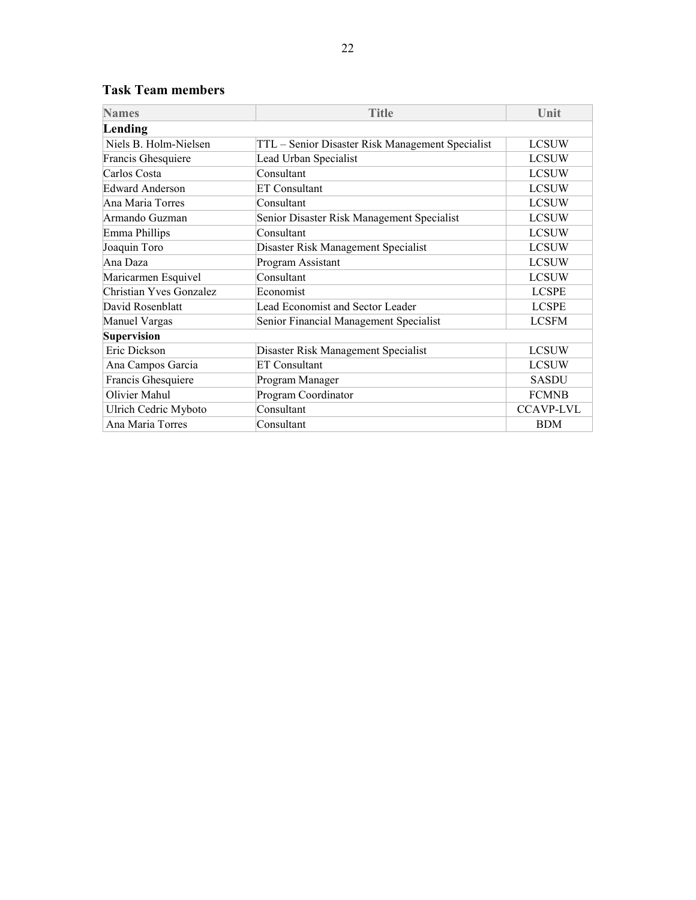| <b>Names</b>            | <b>Title</b>                                     | Unit             |
|-------------------------|--------------------------------------------------|------------------|
| Lending                 |                                                  |                  |
| Niels B. Holm-Nielsen   | TTL - Senior Disaster Risk Management Specialist | <b>LCSUW</b>     |
| Francis Ghesquiere      | Lead Urban Specialist                            | <b>LCSUW</b>     |
| Carlos Costa            | Consultant                                       | <b>LCSUW</b>     |
| <b>Edward Anderson</b>  | <b>ET Consultant</b>                             | <b>LCSUW</b>     |
| Ana Maria Torres        | Consultant                                       | <b>LCSUW</b>     |
| Armando Guzman          | Senior Disaster Risk Management Specialist       | <b>LCSUW</b>     |
| Emma Phillips           | Consultant                                       | <b>LCSUW</b>     |
| Joaquin Toro            | Disaster Risk Management Specialist              | <b>LCSUW</b>     |
| Ana Daza                | Program Assistant                                | <b>LCSUW</b>     |
| Maricarmen Esquivel     | Consultant                                       | <b>LCSUW</b>     |
| Christian Yves Gonzalez | Economist                                        | <b>LCSPE</b>     |
| David Rosenblatt        | Lead Economist and Sector Leader                 | <b>LCSPE</b>     |
| Manuel Vargas           | Senior Financial Management Specialist           | <b>LCSFM</b>     |
| <b>Supervision</b>      |                                                  |                  |
| Eric Dickson            | Disaster Risk Management Specialist              | <b>LCSUW</b>     |
| Ana Campos Garcia       | <b>ET Consultant</b>                             | <b>LCSUW</b>     |
| Francis Ghesquiere      | Program Manager                                  | <b>SASDU</b>     |
| Olivier Mahul           | Program Coordinator                              | <b>FCMNB</b>     |
| Ulrich Cedric Myboto    | Consultant                                       | <b>CCAVP-LVL</b> |
| Ana Maria Torres        | Consultant                                       | <b>BDM</b>       |

### **Task Team members**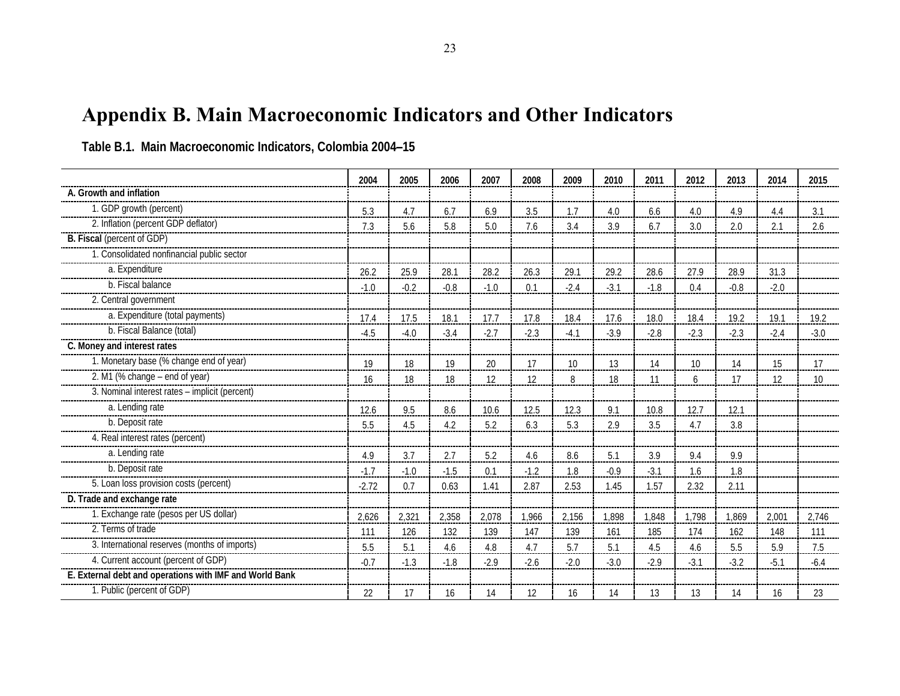**Table B.1. Main Macroeconomic Indicators, Colombia 2004–15**

<span id="page-34-0"></span>

|                                                         | 2004    | 2005   | 2006   | 2007   | 2008   | 2009   | 2010   | 2011   | 2012   | 2013   | 2014   | 2015   |
|---------------------------------------------------------|---------|--------|--------|--------|--------|--------|--------|--------|--------|--------|--------|--------|
| A. Growth and inflation                                 |         |        |        |        |        |        |        |        |        |        |        |        |
| 1. GDP growth (percent)                                 | 5.3     | 4.7    | 6.7    | 6.9    | 3.5    |        | 4.0    | 6.6    | 4.0    | 4.9    | 4.4    | 3.1    |
| 2. Inflation (percent GDP deflator)                     | 7.3     | 5.6    | 5.8    | 5.0    | 7.6    | 3.4    | 3.9    | 6.7    | 3.0    | 2.0    | 2.1    | 2.6    |
| B. Fiscal (percent of GDP)                              |         |        |        |        |        |        |        |        |        |        |        |        |
| 1. Consolidated nonfinancial public sector              |         |        |        |        |        |        |        |        |        |        |        |        |
| a. Expenditure                                          | 26.2    | 25.9   | 28.1   | 28.2   | 26.3   | 29.1   | 29.2   | 28.6   | 27.9   | 28.9   | 31.3   |        |
| b. Fiscal balance                                       | $-1.0$  | $-0.2$ | $-0.8$ | $-1.0$ | 0.1    | $-2.4$ | $-3.1$ | $-1.8$ | 0.4    | $-0.8$ | $-2.0$ |        |
| 2. Central government                                   |         |        |        |        |        |        |        |        |        |        |        |        |
| a. Expenditure (total payments)                         | 17.4    | 17.5   | 18.1   | 17.7   | 17.8   | 18.4   | 17.6   | 18.0   | 18.4   | 19.2   | 19.1   | 19.2   |
| b. Fiscal Balance (total)                               | $-4.5$  | $-4.0$ | $-3.4$ | $-2.7$ | $-2.3$ | $-4.1$ | $-3.9$ | $-2.8$ | $-2.3$ | $-2.3$ | $-2.4$ | $-3.0$ |
| C. Money and interest rates                             |         |        |        |        |        |        |        |        |        |        |        |        |
| 1. Monetary base (% change end of year)                 | 19      | 18     | 19     | 20     | 17     | 10     | 13     | 14     | 10     | 14     | 15     | 17     |
| 2. M1 (% change - end of year)                          | 16      | 18     | 18     | 12     | 12     | 8      | 18     | 11     | 6      | 17     | 12     | 10     |
| 3. Nominal interest rates - implicit (percent)          |         |        |        |        |        |        |        |        |        |        |        |        |
| a. Lending rate                                         | 12.6    | 9.5    | 8.6    | 10.6   | 12.5   | 12.3   | 9.1    | 10.8   | 12.7   | 12.1   |        |        |
| b. Deposit rate                                         | 5.5     | 4.5    | 4.2    | 5.2    | 6.3    | 5.3    | 2.9    | 3.5    | 4.7    | 3.8    |        |        |
| 4. Real interest rates (percent)                        |         |        |        |        |        |        |        |        |        |        |        |        |
| a. Lending rate                                         | 4.9     | 3.7    | 2.7    | 5.2    | 4.6    | 8.6    | 5.1    | 3.9    | 9.4    | 9.9    |        |        |
| b. Deposit rate                                         | $-1.7$  | $-1.0$ | $-1.5$ | 0.1    | $-1.2$ | 1.8    | $-0.9$ | $-3.1$ | 1.6    | 1.8    |        |        |
| 5. Loan loss provision costs (percent)                  | $-2.72$ | 0.7    | 0.63   | 1.41   | 2.87   | 2.53   | 1.45   | 1.57   | 2.32   | 2.11   |        |        |
| D. Trade and exchange rate                              |         |        |        |        |        |        |        |        |        |        |        |        |
| 1. Exchange rate (pesos per US dollar)                  | 2,626   | 2,321  | 2,358  | 2,078  | 1,966  | 2,156  | 1,898  | 1,848  | 1,798  | 1,869  | 2,001  | 2,746  |
| 2. Terms of trade                                       | 111     | 126    | 132    | 139    | 147    | 139    | 161    | 185    | 174    | 162    | 148    | 111    |
|                                                         | 5.5     | 5.1    | 4.6    | 4.8    | 4.7    | 5.7    | 5.1    | 4.5    | 4.6    | 5.5    | 5.9    | 7.5    |
| 4. Current account (percent of GDP)                     | $-0.7$  | $-1.3$ | $-1.8$ | $-2.9$ | $-2.6$ | $-2.0$ | $-3.0$ | $-2.9$ | $-3.1$ | $-3.2$ | $-5.1$ | $-6.4$ |
| E. External debt and operations with IMF and World Bank |         |        |        |        |        |        |        |        |        |        |        |        |
| 1. Public (percent of GDP)                              | 22      | 17     | 16     | 14     | 12     | 16     | 14     | 13     | 13     | 14     | 16     | 23     |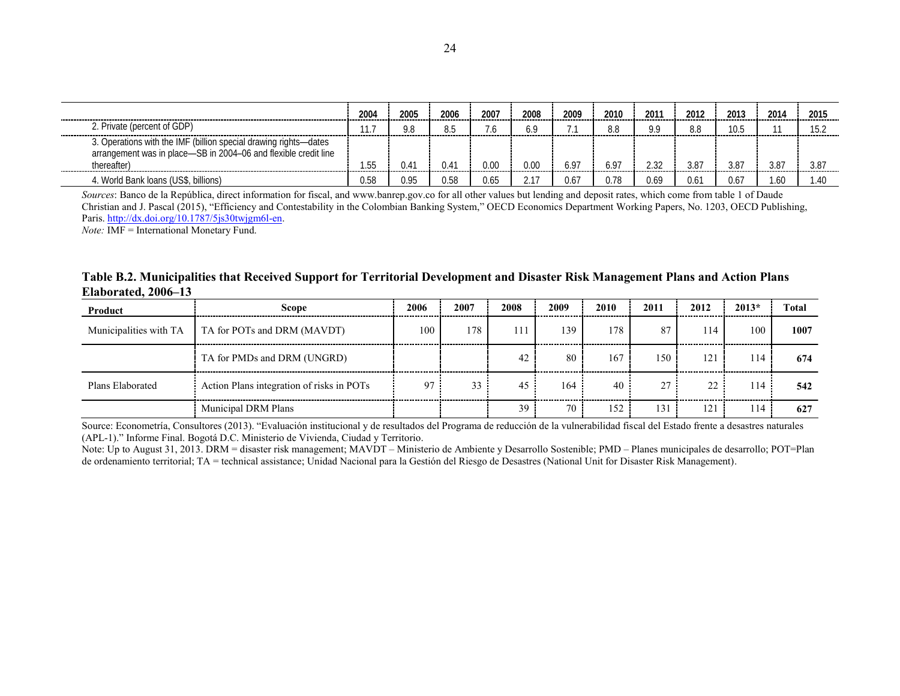|                                                                                                                                     | 2004  | 2005 | 2006        | 2007 | -------- |            | 2010 | 201       | 201        | 201  | 201 |            |
|-------------------------------------------------------------------------------------------------------------------------------------|-------|------|-------------|------|----------|------------|------|-----------|------------|------|-----|------------|
| P. Private (percent of GDP)                                                                                                         |       | n o  |             |      |          |            |      |           |            |      |     |            |
| 3. Operations with the IMF (billion special drawing rights-dates<br>arrangement was in place-SB in 2004-06 and flexible credit line | hh    | 14   |             |      |          |            |      |           |            |      |     |            |
| thereafter)                                                                                                                         |       |      | ----------- |      | -------- | ---------- |      | --------- | ---------- |      | .   | ---------- |
| . World Bank loans (US\$, billions)                                                                                                 | .).ხ⊱ | 0.95 | .ን 5ድ       | ) 6. |          |            |      |           |            | .J.h |     |            |

*Sources*: Banco de la República, direct information for fiscal, and www.banrep.gov.co for all other values but lending and deposit rates, which come from table 1 of Daude Christian and J. Pascal (2015), "Efficiency and Contestability in the Colombian Banking System," OECD Economics Department Working Papers, No. 1203, OECD Publishing, Paris. [http://dx.doi.org/10.1787/5js30twjgm6l-en.](http://dx.doi.org/10.1787/5js30twjgm6l-en)

*Note:* IMF = International Monetary Fund.

**Table B.2. Municipalities that Received Support for Territorial Development and Disaster Risk Management Plans and Action Plans Elaborated, 2006–13**

| Product                | Scope                                     | 2006 | 2007 | 2008 | 2009                 | 2010<br>            | 2011 | 2012 | $2013*$<br> | Total |
|------------------------|-------------------------------------------|------|------|------|----------------------|---------------------|------|------|-------------|-------|
| Municipalities with TA | TA for POTs and DRM (MAVDT)               | 100  | 178  |      | 139                  | 178                 | 87   | 14   | 100         | 1007  |
|                        | TA for PMDs and DRM (UNGRD)               |      |      | 42   | 80                   | 167                 | 50   | 121  | 114         | 674   |
| Plans Elaborated       | Action Plans integration of risks in POTs | 97   | 33   | -45  | -------------<br>164 | -------------<br>40 | 27   | 22   | 114         | 542   |
|                        | <b>Municipal DRM Plans</b>                |      |      | 39   | 70                   | 152                 | 31   | 121  | 114         | 627   |

Source: Econometría, Consultores (2013). "Evaluación institucional y de resultados del Programa de reducción de la vulnerabilidad fiscal del Estado frente a desastres naturales (APL-1)." Informe Final. Bogotá D.C. Ministerio de Vivienda, Ciudad y Territorio.

Note: Up to August 31, 2013. DRM = disaster risk management; MAVDT – Ministerio de Ambiente y Desarrollo Sostenible; PMD – Planes municipales de desarrollo; POT=Plan de ordenamiento territorial; TA = technical assistance; Unidad Nacional para la Gestión del Riesgo de Desastres (National Unit for Disaster Risk Management).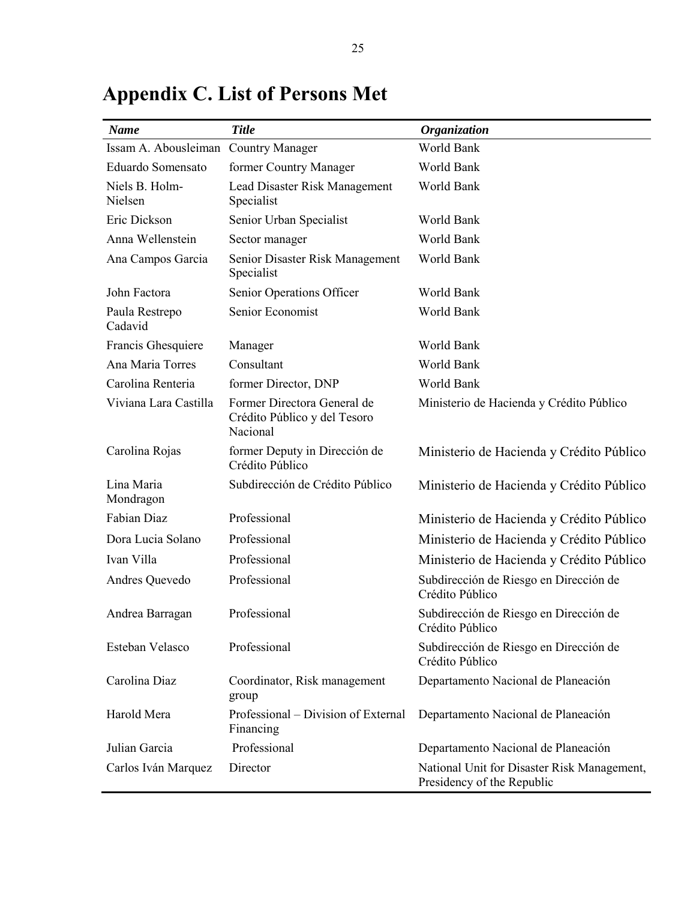| <b>Name</b>                          | <b>Title</b>                                                            | <b>Organization</b>                                                       |
|--------------------------------------|-------------------------------------------------------------------------|---------------------------------------------------------------------------|
| Issam A. Abousleiman Country Manager |                                                                         | World Bank                                                                |
| Eduardo Somensato                    | former Country Manager                                                  | World Bank                                                                |
| Niels B. Holm-<br>Nielsen            | Lead Disaster Risk Management<br>Specialist                             | World Bank                                                                |
| Eric Dickson                         | Senior Urban Specialist                                                 | World Bank                                                                |
| Anna Wellenstein                     | Sector manager                                                          | World Bank                                                                |
| Ana Campos Garcia                    | Senior Disaster Risk Management<br>Specialist                           | World Bank                                                                |
| John Factora                         | Senior Operations Officer                                               | World Bank                                                                |
| Paula Restrepo<br>Cadavid            | Senior Economist                                                        | World Bank                                                                |
| Francis Ghesquiere                   | Manager                                                                 | World Bank                                                                |
| Ana Maria Torres                     | Consultant                                                              | World Bank                                                                |
| Carolina Renteria                    | former Director, DNP                                                    | World Bank                                                                |
| Viviana Lara Castilla                | Former Directora General de<br>Crédito Público y del Tesoro<br>Nacional | Ministerio de Hacienda y Crédito Público                                  |
| Carolina Rojas                       | former Deputy in Dirección de<br>Crédito Público                        | Ministerio de Hacienda y Crédito Público                                  |
| Lina Maria<br>Mondragon              | Subdirección de Crédito Público                                         | Ministerio de Hacienda y Crédito Público                                  |
| Fabian Diaz                          | Professional                                                            | Ministerio de Hacienda y Crédito Público                                  |
| Dora Lucia Solano                    | Professional                                                            | Ministerio de Hacienda y Crédito Público                                  |
| Ivan Villa                           | Professional                                                            | Ministerio de Hacienda y Crédito Público                                  |
| Andres Quevedo                       | Professional                                                            | Subdirección de Riesgo en Dirección de<br>Crédito Público                 |
| Andrea Barragan                      | Professional                                                            | Subdirección de Riesgo en Dirección de<br>Crédito Público                 |
| Esteban Velasco                      | Professional                                                            | Subdirección de Riesgo en Dirección de<br>Crédito Público                 |
| Carolina Diaz                        | Coordinator, Risk management<br>group                                   | Departamento Nacional de Planeación                                       |
| Harold Mera                          | Professional – Division of External<br>Financing                        | Departamento Nacional de Planeación                                       |
| Julian Garcia                        | Professional                                                            | Departamento Nacional de Planeación                                       |
| Carlos Iván Marquez                  | Director                                                                | National Unit for Disaster Risk Management,<br>Presidency of the Republic |

## <span id="page-36-0"></span>**Appendix C. List of Persons Met**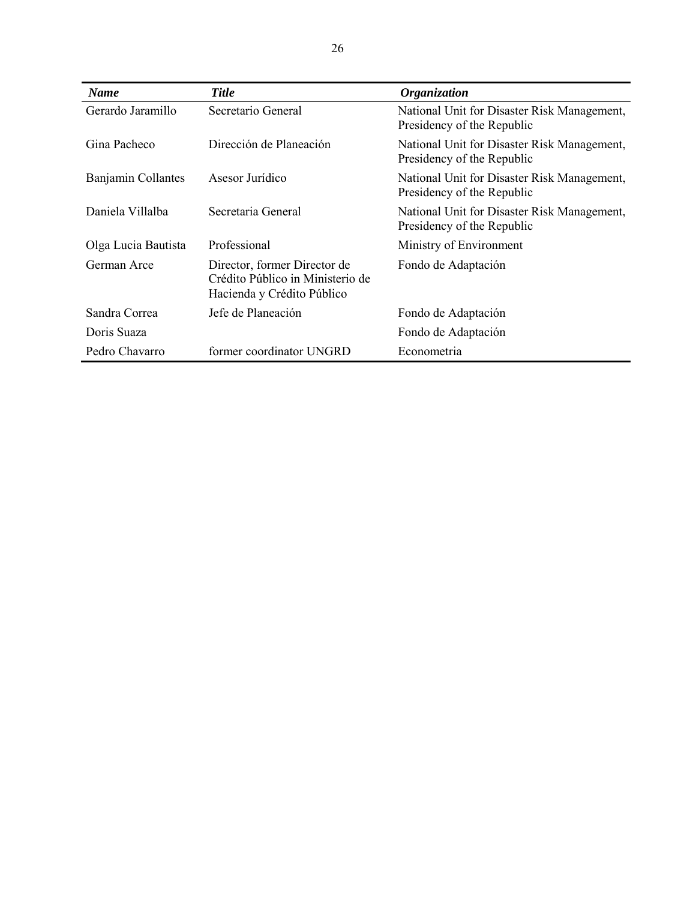| <b>Name</b>         | <b>Title</b>                                                                                   | <i><b>Organization</b></i>                                                |
|---------------------|------------------------------------------------------------------------------------------------|---------------------------------------------------------------------------|
| Gerardo Jaramillo   | Secretario General                                                                             | National Unit for Disaster Risk Management,<br>Presidency of the Republic |
| Gina Pacheco        | Dirección de Planeación                                                                        | National Unit for Disaster Risk Management,<br>Presidency of the Republic |
| Banjamin Collantes  | Asesor Jurídico                                                                                | National Unit for Disaster Risk Management,<br>Presidency of the Republic |
| Daniela Villalba    | Secretaria General                                                                             | National Unit for Disaster Risk Management,<br>Presidency of the Republic |
| Olga Lucia Bautista | Professional                                                                                   | Ministry of Environment                                                   |
| German Arce         | Director, former Director de<br>Crédito Público in Ministerio de<br>Hacienda y Crédito Público | Fondo de Adaptación                                                       |
| Sandra Correa       | Jefe de Planeación                                                                             | Fondo de Adaptación                                                       |
| Doris Suaza         |                                                                                                | Fondo de Adaptación                                                       |
| Pedro Chavarro      | former coordinator UNGRD                                                                       | Econometria                                                               |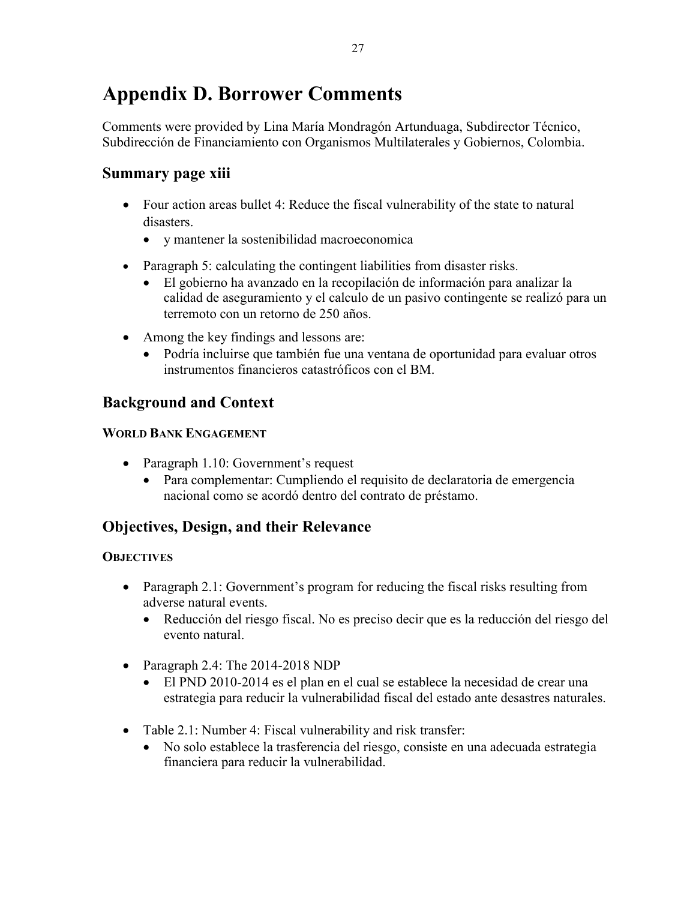## <span id="page-38-0"></span>**Appendix D. Borrower Comments**

Comments were provided by Lina María Mondragón Artunduaga, Subdirector Técnico, Subdirección de Financiamiento con Organismos Multilaterales y Gobiernos, Colombia.

## **Summary page xiii**

- Four action areas bullet 4: Reduce the fiscal vulnerability of the state to natural disasters.
	- y mantener la sostenibilidad macroeconomica
- Paragraph 5: calculating the contingent liabilities from disaster risks.
	- El gobierno ha avanzado en la recopilación de información para analizar la calidad de aseguramiento y el calculo de un pasivo contingente se realizó para un terremoto con un retorno de 250 años.
- Among the key findings and lessons are:
	- Podría incluirse que también fue una ventana de oportunidad para evaluar otros instrumentos financieros catastróficos con el BM.

## **Background and Context**

#### **WORLD BANK ENGAGEMENT**

- Paragraph 1.10: Government's request
	- Para complementar: Cumpliendo el requisito de declaratoria de emergencia nacional como se acordó dentro del contrato de préstamo.

## **Objectives, Design, and their Relevance**

#### **OBJECTIVES**

- Paragraph 2.1: Government's program for reducing the fiscal risks resulting from adverse natural events.
	- Reducción del riesgo fiscal. No es preciso decir que es la reducción del riesgo del evento natural.
- Paragraph 2.4: The 2014-2018 NDP
	- El PND 2010-2014 es el plan en el cual se establece la necesidad de crear una estrategia para reducir la vulnerabilidad fiscal del estado ante desastres naturales.
- Table 2.1: Number 4: Fiscal vulnerability and risk transfer:
	- No solo establece la trasferencia del riesgo, consiste en una adecuada estrategia financiera para reducir la vulnerabilidad.